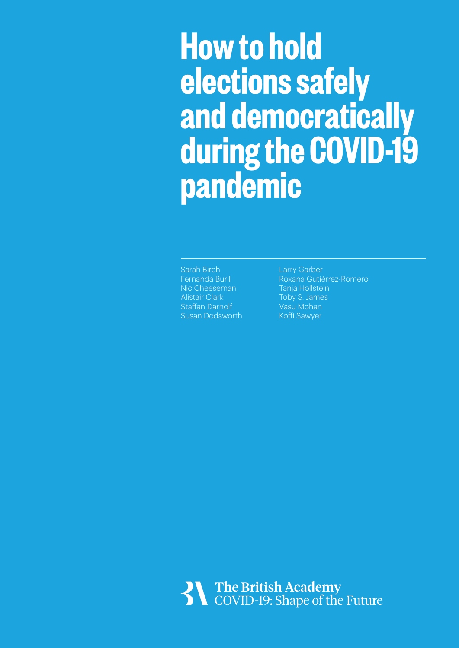## **How to hold elections safely and democratically during the COVID-19 pandemic**

Sarah Birch Fernanda Buril Nic Cheeseman Alistair Clark Staffan Darnolf Susan Dodsworth

Larry Garber Roxana Gutiérrez-Romero Tanja Hollstein Toby S. James Vasu Mohan Koffi Sawyer

The British Academy<br>COVID-19: Shape of the Future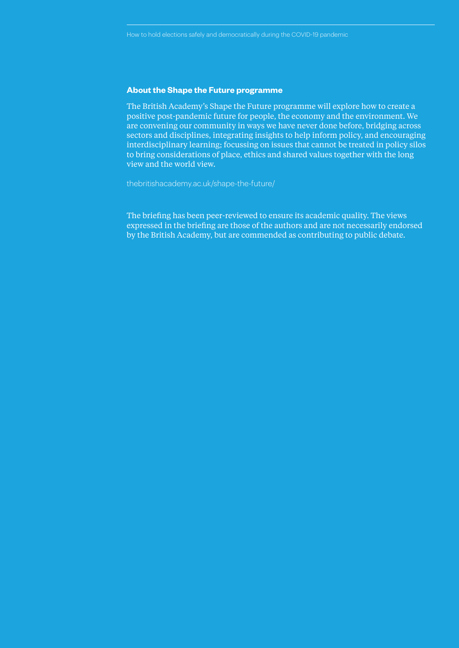#### **About the Shape the Future programme**

The British Academy's Shape the Future programme will explore how to create a positive post-pandemic future for people, the economy and the environment. We are convening our community in ways we have never done before, bridging across sectors and disciplines, integrating insights to help inform policy, and encouraging interdisciplinary learning; focussing on issues that cannot be treated in policy silos to bring considerations of place, ethics and shared values together with the long view and the world view.

thebritishacademy.ac.uk/shape-the-future/

The briefing has been peer-reviewed to ensure its academic quality. The views expressed in the briefing are those of the authors and are not necessarily endorsed by the British Academy, but are commended as contributing to public debate.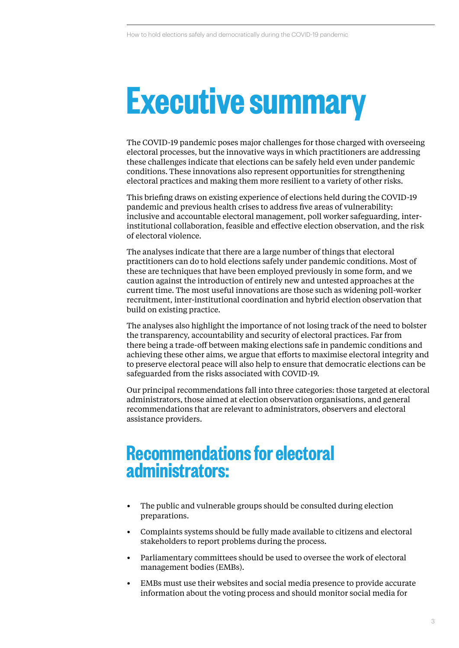## **Executive summary**

The COVID-19 pandemic poses major challenges for those charged with overseeing electoral processes, but the innovative ways in which practitioners are addressing these challenges indicate that elections can be safely held even under pandemic conditions. These innovations also represent opportunities for strengthening electoral practices and making them more resilient to a variety of other risks.

This briefing draws on existing experience of elections held during the COVID-19 pandemic and previous health crises to address five areas of vulnerability: inclusive and accountable electoral management, poll worker safeguarding, interinstitutional collaboration, feasible and effective election observation, and the risk of electoral violence.

The analyses indicate that there are a large number of things that electoral practitioners can do to hold elections safely under pandemic conditions. Most of these are techniques that have been employed previously in some form, and we caution against the introduction of entirely new and untested approaches at the current time. The most useful innovations are those such as widening poll-worker recruitment, inter-institutional coordination and hybrid election observation that build on existing practice.

The analyses also highlight the importance of not losing track of the need to bolster the transparency, accountability and security of electoral practices. Far from there being a trade-off between making elections safe in pandemic conditions and achieving these other aims, we argue that efforts to maximise electoral integrity and to preserve electoral peace will also help to ensure that democratic elections can be safeguarded from the risks associated with COVID-19.

Our principal recommendations fall into three categories: those targeted at electoral administrators, those aimed at election observation organisations, and general recommendations that are relevant to administrators, observers and electoral assistance providers.

### **Recommendations for electoral administrators:**

- The public and vulnerable groups should be consulted during election preparations.
- Complaints systems should be fully made available to citizens and electoral stakeholders to report problems during the process.
- Parliamentary committees should be used to oversee the work of electoral management bodies (EMBs).
- EMBs must use their websites and social media presence to provide accurate information about the voting process and should monitor social media for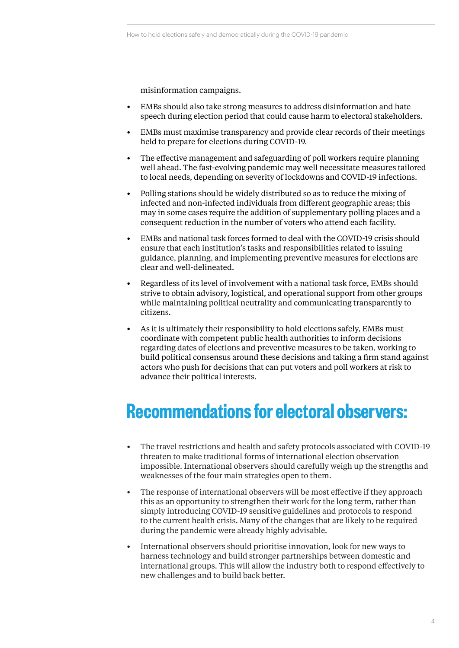misinformation campaigns.

- EMBs should also take strong measures to address disinformation and hate speech during election period that could cause harm to electoral stakeholders.
- EMBs must maximise transparency and provide clear records of their meetings held to prepare for elections during COVID-19.
- The effective management and safeguarding of poll workers require planning well ahead. The fast-evolving pandemic may well necessitate measures tailored to local needs, depending on severity of lockdowns and COVID-19 infections.
- Polling stations should be widely distributed so as to reduce the mixing of infected and non-infected individuals from different geographic areas; this may in some cases require the addition of supplementary polling places and a consequent reduction in the number of voters who attend each facility.
- EMBs and national task forces formed to deal with the COVID-19 crisis should ensure that each institution's tasks and responsibilities related to issuing guidance, planning, and implementing preventive measures for elections are clear and well-delineated.
- Regardless of its level of involvement with a national task force, EMBs should strive to obtain advisory, logistical, and operational support from other groups while maintaining political neutrality and communicating transparently to citizens.
- As it is ultimately their responsibility to hold elections safely, EMBs must coordinate with competent public health authorities to inform decisions regarding dates of elections and preventive measures to be taken, working to build political consensus around these decisions and taking a firm stand against actors who push for decisions that can put voters and poll workers at risk to advance their political interests.

## **Recommendations for electoral observers:**

- The travel restrictions and health and safety protocols associated with COVID-19 threaten to make traditional forms of international election observation impossible. International observers should carefully weigh up the strengths and weaknesses of the four main strategies open to them.
- The response of international observers will be most effective if they approach this as an opportunity to strengthen their work for the long term, rather than simply introducing COVID-19 sensitive guidelines and protocols to respond to the current health crisis. Many of the changes that are likely to be required during the pandemic were already highly advisable.
- International observers should prioritise innovation, look for new ways to harness technology and build stronger partnerships between domestic and international groups. This will allow the industry both to respond effectively to new challenges and to build back better.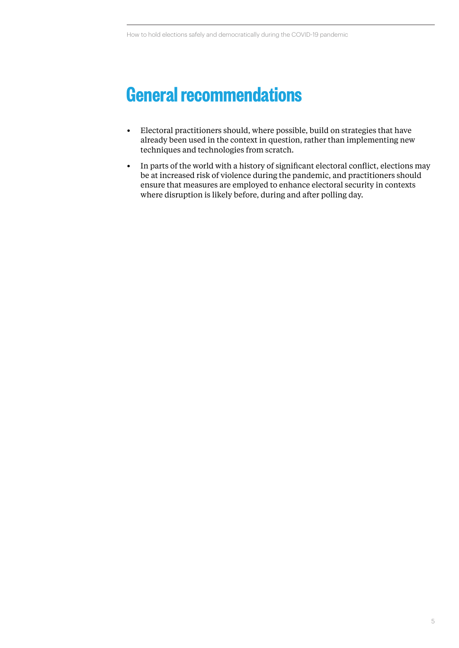## **General recommendations**

- Electoral practitioners should, where possible, build on strategies that have already been used in the context in question, rather than implementing new techniques and technologies from scratch.
- In parts of the world with a history of significant electoral conflict, elections may be at increased risk of violence during the pandemic, and practitioners should ensure that measures are employed to enhance electoral security in contexts where disruption is likely before, during and after polling day.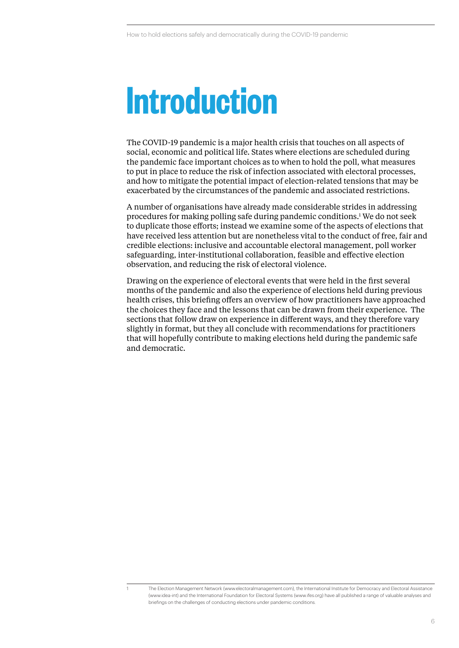## **Introduction**

The COVID-19 pandemic is a major health crisis that touches on all aspects of social, economic and political life. States where elections are scheduled during the pandemic face important choices as to when to hold the poll, what measures to put in place to reduce the risk of infection associated with electoral processes, and how to mitigate the potential impact of election-related tensions that may be exacerbated by the circumstances of the pandemic and associated restrictions.

A number of organisations have already made considerable strides in addressing procedures for making polling safe during pandemic conditions.1 We do not seek to duplicate those efforts; instead we examine some of the aspects of elections that have received less attention but are nonetheless vital to the conduct of free, fair and credible elections: inclusive and accountable electoral management, poll worker safeguarding, inter-institutional collaboration, feasible and effective election observation, and reducing the risk of electoral violence.

Drawing on the experience of electoral events that were held in the first several months of the pandemic and also the experience of elections held during previous health crises, this briefing offers an overview of how practitioners have approached the choices they face and the lessons that can be drawn from their experience. The sections that follow draw on experience in different ways, and they therefore vary slightly in format, but they all conclude with recommendations for practitioners that will hopefully contribute to making elections held during the pandemic safe and democratic.

<sup>1</sup> The Election Management Network (www.electoralmanagement.com), the International Institute for Democracy and Electoral Assistance (www.idea-int) and the International Foundation for Electoral Systems (www.ifes.org) have all published a range of valuable analyses and briefings on the challenges of conducting elections under pandemic conditions.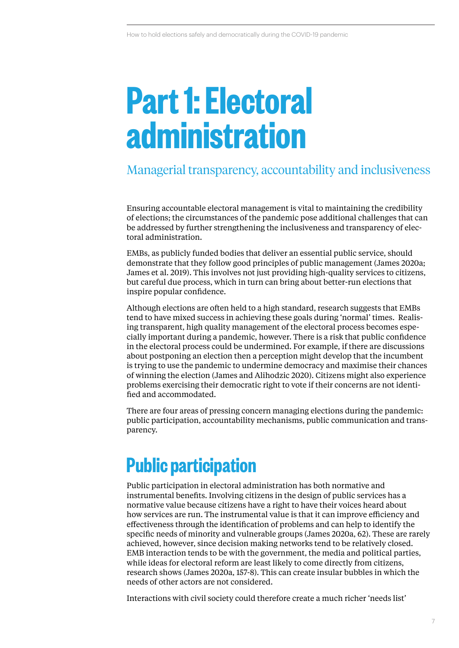## **Part 1: Electoral administration**

### Managerial transparency, accountability and inclusiveness

Ensuring accountable electoral management is vital to maintaining the credibility of elections; the circumstances of the pandemic pose additional challenges that can be addressed by further strengthening the inclusiveness and transparency of electoral administration.

EMBs, as publicly funded bodies that deliver an essential public service, should demonstrate that they follow good principles of public management (James 2020a; James et al. 2019). This involves not just providing high-quality services to citizens, but careful due process, which in turn can bring about better-run elections that inspire popular confidence.

Although elections are often held to a high standard, research suggests that EMBs tend to have mixed success in achieving these goals during 'normal' times. Realising transparent, high quality management of the electoral process becomes especially important during a pandemic, however. There is a risk that public confidence in the electoral process could be undermined. For example, if there are discussions about postponing an election then a perception might develop that the incumbent is trying to use the pandemic to undermine democracy and maximise their chances of winning the election (James and Alihodzic 2020). Citizens might also experience problems exercising their democratic right to vote if their concerns are not identified and accommodated.

There are four areas of pressing concern managing elections during the pandemic: public participation, accountability mechanisms, public communication and transparency.

## **Public participation**

Public participation in electoral administration has both normative and instrumental benefits. Involving citizens in the design of public services has a normative value because citizens have a right to have their voices heard about how services are run. The instrumental value is that it can improve efficiency and effectiveness through the identification of problems and can help to identify the specific needs of minority and vulnerable groups (James 2020a, 62). These are rarely achieved, however, since decision making networks tend to be relatively closed. EMB interaction tends to be with the government, the media and political parties, while ideas for electoral reform are least likely to come directly from citizens, research shows (James 2020a, 157-8). This can create insular bubbles in which the needs of other actors are not considered.

Interactions with civil society could therefore create a much richer 'needs list'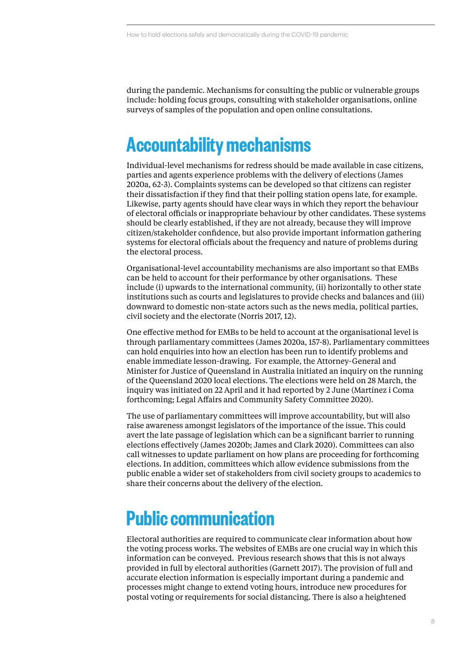during the pandemic. Mechanisms for consulting the public or vulnerable groups include: holding focus groups, consulting with stakeholder organisations, online surveys of samples of the population and open online consultations.

## **Accountability mechanisms**

Individual-level mechanisms for redress should be made available in case citizens, parties and agents experience problems with the delivery of elections (James 2020a, 62-3). Complaints systems can be developed so that citizens can register their dissatisfaction if they find that their polling station opens late, for example. Likewise, party agents should have clear ways in which they report the behaviour of electoral officials or inappropriate behaviour by other candidates. These systems should be clearly established, if they are not already, because they will improve citizen/stakeholder confidence, but also provide important information gathering systems for electoral officials about the frequency and nature of problems during the electoral process.

Organisational-level accountability mechanisms are also important so that EMBs can be held to account for their performance by other organisations. These include (i) upwards to the international community, (ii) horizontally to other state institutions such as courts and legislatures to provide checks and balances and (iii) downward to domestic non-state actors such as the news media, political parties, civil society and the electorate (Norris 2017, 12).

One effective method for EMBs to be held to account at the organisational level is through parliamentary committees (James 2020a, 157-8). Parliamentary committees can hold enquiries into how an election has been run to identify problems and enable immediate lesson-drawing. For example, the Attorney-General and Minister for Justice of Queensland in Australia initiated an inquiry on the running of the Queensland 2020 local elections. The elections were held on 28 March, the inquiry was initiated on 22 April and it had reported by 2 June (Martínez i Coma forthcoming; Legal Affairs and Community Safety Committee 2020).

The use of parliamentary committees will improve accountability, but will also raise awareness amongst legislators of the importance of the issue. This could avert the late passage of legislation which can be a significant barrier to running elections effectively (James 2020b; James and Clark 2020). Committees can also call witnesses to update parliament on how plans are proceeding for forthcoming elections. In addition, committees which allow evidence submissions from the public enable a wider set of stakeholders from civil society groups to academics to share their concerns about the delivery of the election.

### **Public communication**

Electoral authorities are required to communicate clear information about how the voting process works. The websites of EMBs are one crucial way in which this information can be conveyed. Previous research shows that this is not always provided in full by electoral authorities (Garnett 2017). The provision of full and accurate election information is especially important during a pandemic and processes might change to extend voting hours, introduce new procedures for postal voting or requirements for social distancing. There is also a heightened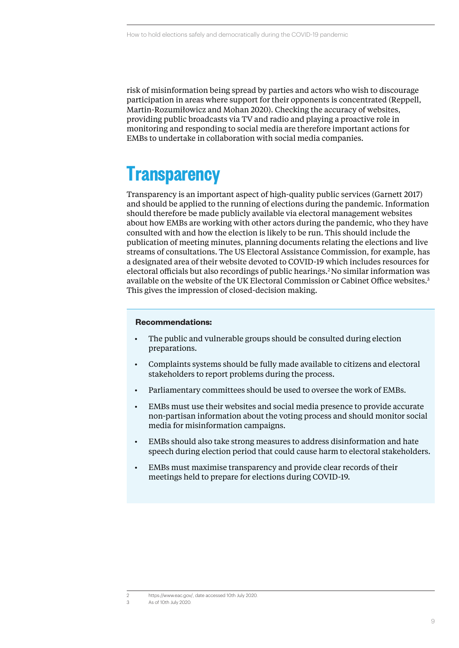risk of misinformation being spread by parties and actors who wish to discourage participation in areas where support for their opponents is concentrated (Reppell, Martin-Rozumiłowicz and Mohan 2020). Checking the accuracy of websites, providing public broadcasts via TV and radio and playing a proactive role in monitoring and responding to social media are therefore important actions for EMBs to undertake in collaboration with social media companies.

## **Transparency**

Transparency is an important aspect of high-quality public services (Garnett 2017) and should be applied to the running of elections during the pandemic. Information should therefore be made publicly available via electoral management websites about how EMBs are working with other actors during the pandemic, who they have consulted with and how the election is likely to be run. This should include the publication of meeting minutes, planning documents relating the elections and live streams of consultations. The US Electoral Assistance Commission, for example, has a designated area of their website devoted to COVID-19 which includes resources for electoral officials but also recordings of public hearings.2No similar information was available on the website of the UK Electoral Commission or Cabinet Office websites.3 This gives the impression of closed-decision making.

#### **Recommendations:**

- The public and vulnerable groups should be consulted during election preparations.
- Complaints systems should be fully made available to citizens and electoral stakeholders to report problems during the process.
- Parliamentary committees should be used to oversee the work of EMBs.
- EMBs must use their websites and social media presence to provide accurate non-partisan information about the voting process and should monitor social media for misinformation campaigns.
- EMBs should also take strong measures to address disinformation and hate speech during election period that could cause harm to electoral stakeholders.
- EMBs must maximise transparency and provide clear records of their meetings held to prepare for elections during COVID-19.

As of 10th July 2020.

<sup>2</sup> https://www.eac.gov/, date accessed 10th July 2020.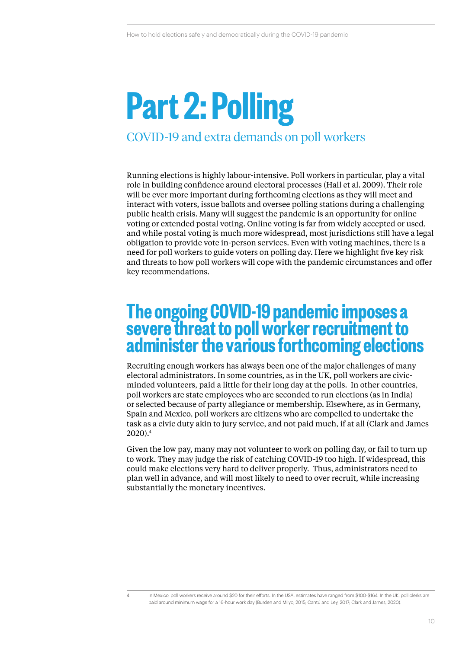## **Part 2: Polling** COVID-19 and extra demands on poll workers

Running elections is highly labour-intensive. Poll workers in particular, play a vital role in building confidence around electoral processes (Hall et al. 2009). Their role will be ever more important during forthcoming elections as they will meet and interact with voters, issue ballots and oversee polling stations during a challenging public health crisis. Many will suggest the pandemic is an opportunity for online voting or extended postal voting. Online voting is far from widely accepted or used, and while postal voting is much more widespread, most jurisdictions still have a legal obligation to provide vote in-person services. Even with voting machines, there is a need for poll workers to guide voters on polling day. Here we highlight five key risk and threats to how poll workers will cope with the pandemic circumstances and offer key recommendations.

### **The ongoing COVID-19 pandemic imposes a severe threat to poll worker recruitment to administer the various forthcoming elections**

Recruiting enough workers has always been one of the major challenges of many electoral administrators. In some countries, as in the UK, poll workers are civicminded volunteers, paid a little for their long day at the polls. In other countries, poll workers are state employees who are seconded to run elections (as in India) or selected because of party allegiance or membership. Elsewhere, as in Germany, Spain and Mexico, poll workers are citizens who are compelled to undertake the task as a civic duty akin to jury service, and not paid much, if at all (Clark and James 2020).4

Given the low pay, many may not volunteer to work on polling day, or fail to turn up to work. They may judge the risk of catching COVID-19 too high. If widespread, this could make elections very hard to deliver properly. Thus, administrators need to plan well in advance, and will most likely to need to over recruit, while increasing substantially the monetary incentives.

<sup>4</sup> In Mexico, poll workers receive around \$20 for their efforts. In the USA, estimates have ranged from \$100-\$164. In the UK, poll clerks are paid around minimum wage for a 16-hour work day (Burden and Milyo, 2015; Cantú and Ley, 2017; Clark and James, 2020).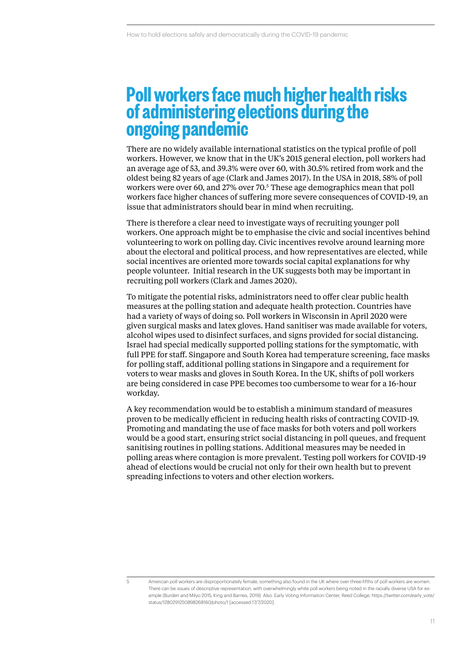### **Poll workers face much higher health risks of administering elections during the ongoing pandemic**

There are no widely available international statistics on the typical profile of poll workers. However, we know that in the UK's 2015 general election, poll workers had an average age of 53, and 39.3% were over 60, with 30.5% retired from work and the oldest being 82 years of age (Clark and James 2017). In the USA in 2018, 58% of poll workers were over 60, and 27% over 70.5 These age demographics mean that poll workers face higher chances of suffering more severe consequences of COVID-19, an issue that administrators should bear in mind when recruiting.

There is therefore a clear need to investigate ways of recruiting younger poll workers. One approach might be to emphasise the civic and social incentives behind volunteering to work on polling day. Civic incentives revolve around learning more about the electoral and political process, and how representatives are elected, while social incentives are oriented more towards social capital explanations for why people volunteer. Initial research in the UK suggests both may be important in recruiting poll workers (Clark and James 2020).

To mitigate the potential risks, administrators need to offer clear public health measures at the polling station and adequate health protection. Countries have had a variety of ways of doing so. Poll workers in Wisconsin in April 2020 were given surgical masks and latex gloves. Hand sanitiser was made available for voters, alcohol wipes used to disinfect surfaces, and signs provided for social distancing. Israel had special medically supported polling stations for the symptomatic, with full PPE for staff. Singapore and South Korea had temperature screening, face masks for polling staff, additional polling stations in Singapore and a requirement for voters to wear masks and gloves in South Korea. In the UK, shifts of poll workers are being considered in case PPE becomes too cumbersome to wear for a 16-hour workday.

A key recommendation would be to establish a minimum standard of measures proven to be medically efficient in reducing health risks of contracting COVID-19. Promoting and mandating the use of face masks for both voters and poll workers would be a good start, ensuring strict social distancing in poll queues, and frequent sanitising routines in polling stations. Additional measures may be needed in polling areas where contagion is more prevalent. Testing poll workers for COVID-19 ahead of elections would be crucial not only for their own health but to prevent spreading infections to voters and other election workers.

<sup>5</sup> American poll workers are disproportionately female, something also found in the UK where over three-fifths of poll workers are women. There can be issues of descriptive representation, with overwhelmingly white poll workers being noted in the racially diverse USA for example (Burden and Milyo 2015, King and Barnes, 2019). Also: Early Voting Information Center, Reed College, https://twitter.com/early\_vote/ status/1280291250898268160/photo/1 [accessed 17/7/2020].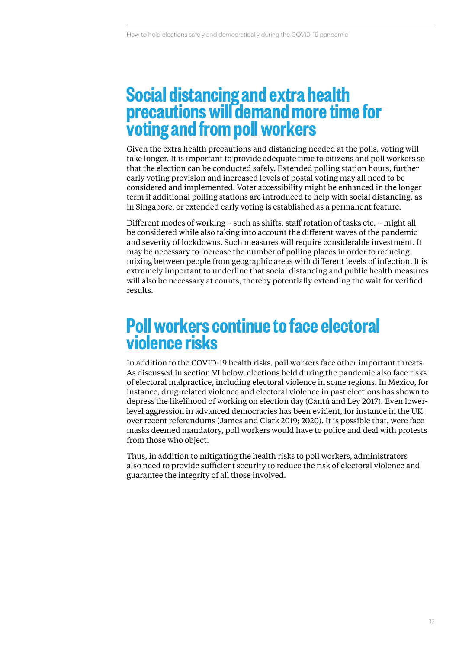### **Social distancing and extra health precautions will demand more time for voting and from poll workers**

Given the extra health precautions and distancing needed at the polls, voting will take longer. It is important to provide adequate time to citizens and poll workers so that the election can be conducted safely. Extended polling station hours, further early voting provision and increased levels of postal voting may all need to be considered and implemented. Voter accessibility might be enhanced in the longer term if additional polling stations are introduced to help with social distancing, as in Singapore, or extended early voting is established as a permanent feature.

Different modes of working – such as shifts, staff rotation of tasks etc. – might all be considered while also taking into account the different waves of the pandemic and severity of lockdowns. Such measures will require considerable investment. It may be necessary to increase the number of polling places in order to reducing mixing between people from geographic areas with different levels of infection. It is extremely important to underline that social distancing and public health measures will also be necessary at counts, thereby potentially extending the wait for verified results.

### **Poll workers continue to face electoral violence risks**

In addition to the COVID-19 health risks, poll workers face other important threats. As discussed in section VI below, elections held during the pandemic also face risks of electoral malpractice, including electoral violence in some regions. In Mexico, for instance, drug-related violence and electoral violence in past elections has shown to depress the likelihood of working on election day (Cantú and Ley 2017). Even lowerlevel aggression in advanced democracies has been evident, for instance in the UK over recent referendums (James and Clark 2019; 2020). It is possible that, were face masks deemed mandatory, poll workers would have to police and deal with protests from those who object.

Thus, in addition to mitigating the health risks to poll workers, administrators also need to provide sufficient security to reduce the risk of electoral violence and guarantee the integrity of all those involved.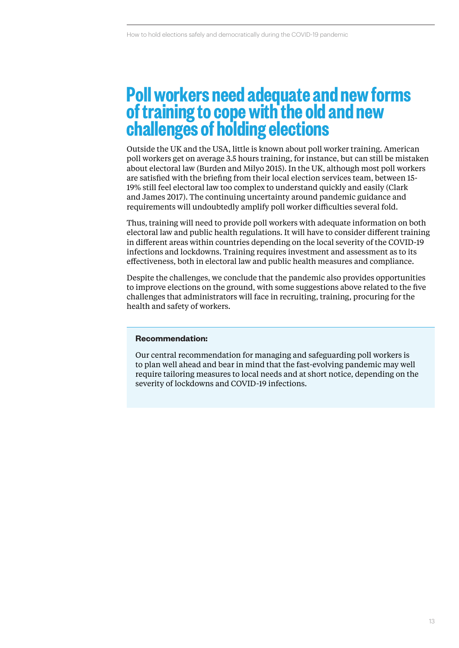### **Poll workers need adequate and new forms of training to cope with the old and new challenges of holding elections**

Outside the UK and the USA, little is known about poll worker training. American poll workers get on average 3.5 hours training, for instance, but can still be mistaken about electoral law (Burden and Milyo 2015). In the UK, although most poll workers are satisfied with the briefing from their local election services team, between 15- 19% still feel electoral law too complex to understand quickly and easily (Clark and James 2017). The continuing uncertainty around pandemic guidance and requirements will undoubtedly amplify poll worker difficulties several fold.

Thus, training will need to provide poll workers with adequate information on both electoral law and public health regulations. It will have to consider different training in different areas within countries depending on the local severity of the COVID-19 infections and lockdowns. Training requires investment and assessment as to its effectiveness, both in electoral law and public health measures and compliance.

Despite the challenges, we conclude that the pandemic also provides opportunities to improve elections on the ground, with some suggestions above related to the five challenges that administrators will face in recruiting, training, procuring for the health and safety of workers.

#### **Recommendation:**

Our central recommendation for managing and safeguarding poll workers is to plan well ahead and bear in mind that the fast-evolving pandemic may well require tailoring measures to local needs and at short notice, depending on the severity of lockdowns and COVID-19 infections.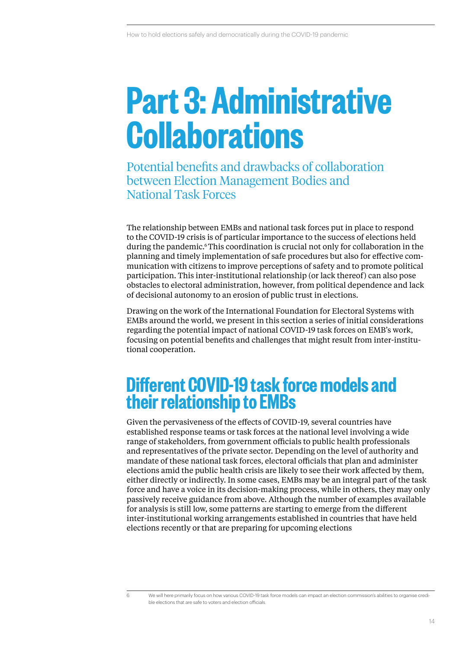## **Part 3: Administrative Collaborations**

Potential benefits and drawbacks of collaboration between Election Management Bodies and National Task Forces

The relationship between EMBs and national task forces put in place to respond to the COVID-19 crisis is of particular importance to the success of elections held during the pandemic.6 This coordination is crucial not only for collaboration in the planning and timely implementation of safe procedures but also for effective communication with citizens to improve perceptions of safety and to promote political participation. This inter-institutional relationship (or lack thereof) can also pose obstacles to electoral administration, however, from political dependence and lack of decisional autonomy to an erosion of public trust in elections.

Drawing on the work of the International Foundation for Electoral Systems with EMBs around the world, we present in this section a series of initial considerations regarding the potential impact of national COVID-19 task forces on EMB's work, focusing on potential benefits and challenges that might result from inter-institutional cooperation.

### **Different COVID-19 task force models and their relationship to EMBs**

Given the pervasiveness of the effects of COVID-19, several countries have established response teams or task forces at the national level involving a wide range of stakeholders, from government officials to public health professionals and representatives of the private sector. Depending on the level of authority and mandate of these national task forces, electoral officials that plan and administer elections amid the public health crisis are likely to see their work affected by them, either directly or indirectly. In some cases, EMBs may be an integral part of the task force and have a voice in its decision-making process, while in others, they may only passively receive guidance from above. Although the number of examples available for analysis is still low, some patterns are starting to emerge from the different inter-institutional working arrangements established in countries that have held elections recently or that are preparing for upcoming elections

<sup>6</sup> We will here primarily focus on how various COVID-19 task force models can impact an election commission's abilities to organise credible elections that are safe to voters and election officials.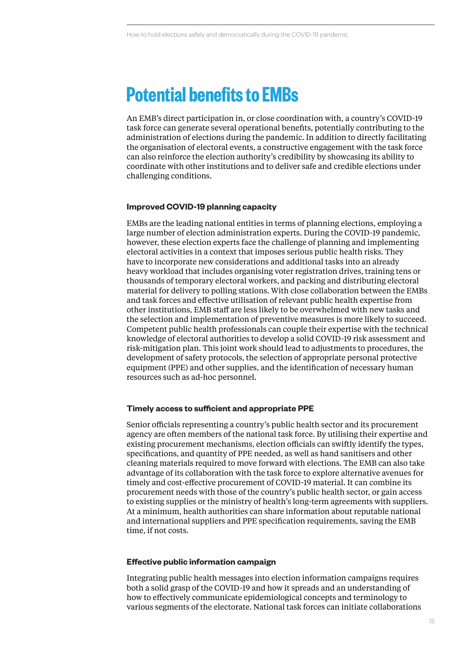### **Potential benefits to EMBs**

An EMB's direct participation in, or close coordination with, a country's COVID-19 task force can generate several operational benefits, potentially contributing to the administration of elections during the pandemic. In addition to directly facilitating the organisation of electoral events, a constructive engagement with the task force can also reinforce the election authority's credibility by showcasing its ability to coordinate with other institutions and to deliver safe and credible elections under challenging conditions.

#### **Improved COVID-19 planning capacity**

EMBs are the leading national entities in terms of planning elections, employing a large number of election administration experts. During the COVID-19 pandemic, however, these election experts face the challenge of planning and implementing electoral activities in a context that imposes serious public health risks. They have to incorporate new considerations and additional tasks into an already heavy workload that includes organising voter registration drives, training tens or thousands of temporary electoral workers, and packing and distributing electoral material for delivery to polling stations. With close collaboration between the EMBs and task forces and effective utilisation of relevant public health expertise from other institutions, EMB staff are less likely to be overwhelmed with new tasks and the selection and implementation of preventive measures is more likely to succeed. Competent public health professionals can couple their expertise with the technical knowledge of electoral authorities to develop a solid COVID-19 risk assessment and risk-mitigation plan. This joint work should lead to adjustments to procedures, the development of safety protocols, the selection of appropriate personal protective equipment (PPE) and other supplies, and the identification of necessary human resources such as ad-hoc personnel.

#### **Timely access to sufficient and appropriate PPE**

Senior officials representing a country's public health sector and its procurement agency are often members of the national task force. By utilising their expertise and existing procurement mechanisms, election officials can swiftly identify the types, specifications, and quantity of PPE needed, as well as hand sanitisers and other cleaning materials required to move forward with elections. The EMB can also take advantage of its collaboration with the task force to explore alternative avenues for timely and cost-effective procurement of COVID-19 material. It can combine its procurement needs with those of the country's public health sector, or gain access to existing supplies or the ministry of health's long-term agreements with suppliers. At a minimum, health authorities can share information about reputable national and international suppliers and PPE specification requirements, saving the EMB time, if not costs.

#### **Effective public information campaign**

Integrating public health messages into election information campaigns requires both a solid grasp of the COVID-19 and how it spreads and an understanding of how to effectively communicate epidemiological concepts and terminology to various segments of the electorate. National task forces can initiate collaborations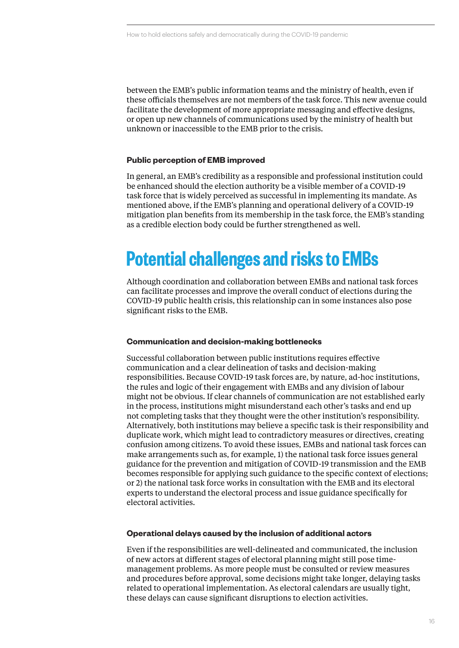between the EMB's public information teams and the ministry of health, even if these officials themselves are not members of the task force. This new avenue could facilitate the development of more appropriate messaging and effective designs, or open up new channels of communications used by the ministry of health but unknown or inaccessible to the EMB prior to the crisis.

#### **Public perception of EMB improved**

In general, an EMB's credibility as a responsible and professional institution could be enhanced should the election authority be a visible member of a COVID-19 task force that is widely perceived as successful in implementing its mandate. As mentioned above, if the EMB's planning and operational delivery of a COVID-19 mitigation plan benefits from its membership in the task force, the EMB's standing as a credible election body could be further strengthened as well.

### **Potential challenges and risks to EMBs**

Although coordination and collaboration between EMBs and national task forces can facilitate processes and improve the overall conduct of elections during the COVID-19 public health crisis, this relationship can in some instances also pose significant risks to the EMB.

#### **Communication and decision-making bottlenecks**

Successful collaboration between public institutions requires effective communication and a clear delineation of tasks and decision-making responsibilities. Because COVID-19 task forces are, by nature, ad-hoc institutions, the rules and logic of their engagement with EMBs and any division of labour might not be obvious. If clear channels of communication are not established early in the process, institutions might misunderstand each other's tasks and end up not completing tasks that they thought were the other institution's responsibility. Alternatively, both institutions may believe a specific task is their responsibility and duplicate work, which might lead to contradictory measures or directives, creating confusion among citizens. To avoid these issues, EMBs and national task forces can make arrangements such as, for example, 1) the national task force issues general guidance for the prevention and mitigation of COVID-19 transmission and the EMB becomes responsible for applying such guidance to the specific context of elections; or 2) the national task force works in consultation with the EMB and its electoral experts to understand the electoral process and issue guidance specifically for electoral activities.

#### **Operational delays caused by the inclusion of additional actors**

Even if the responsibilities are well-delineated and communicated, the inclusion of new actors at different stages of electoral planning might still pose timemanagement problems. As more people must be consulted or review measures and procedures before approval, some decisions might take longer, delaying tasks related to operational implementation. As electoral calendars are usually tight, these delays can cause significant disruptions to election activities.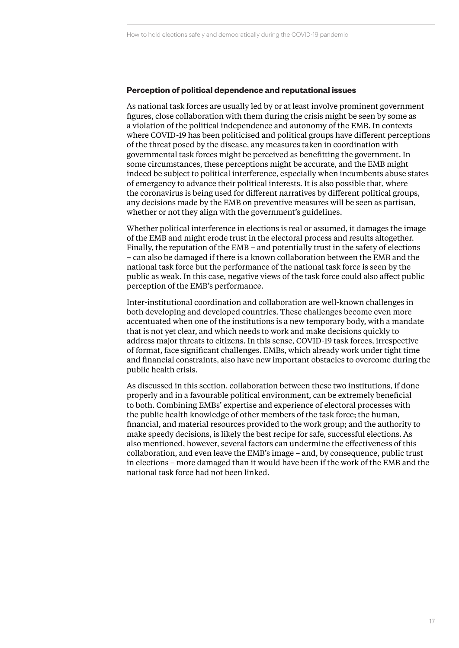#### **Perception of political dependence and reputational issues**

As national task forces are usually led by or at least involve prominent government figures, close collaboration with them during the crisis might be seen by some as a violation of the political independence and autonomy of the EMB. In contexts where COVID-19 has been politicised and political groups have different perceptions of the threat posed by the disease, any measures taken in coordination with governmental task forces might be perceived as benefitting the government. In some circumstances, these perceptions might be accurate, and the EMB might indeed be subject to political interference, especially when incumbents abuse states of emergency to advance their political interests. It is also possible that, where the coronavirus is being used for different narratives by different political groups, any decisions made by the EMB on preventive measures will be seen as partisan, whether or not they align with the government's guidelines.

Whether political interference in elections is real or assumed, it damages the image of the EMB and might erode trust in the electoral process and results altogether. Finally, the reputation of the EMB – and potentially trust in the safety of elections – can also be damaged if there is a known collaboration between the EMB and the national task force but the performance of the national task force is seen by the public as weak. In this case, negative views of the task force could also affect public perception of the EMB's performance.

Inter-institutional coordination and collaboration are well-known challenges in both developing and developed countries. These challenges become even more accentuated when one of the institutions is a new temporary body, with a mandate that is not yet clear, and which needs to work and make decisions quickly to address major threats to citizens. In this sense, COVID-19 task forces, irrespective of format, face significant challenges. EMBs, which already work under tight time and financial constraints, also have new important obstacles to overcome during the public health crisis.

As discussed in this section, collaboration between these two institutions, if done properly and in a favourable political environment, can be extremely beneficial to both. Combining EMBs' expertise and experience of electoral processes with the public health knowledge of other members of the task force; the human, financial, and material resources provided to the work group; and the authority to make speedy decisions, is likely the best recipe for safe, successful elections. As also mentioned, however, several factors can undermine the effectiveness of this collaboration, and even leave the EMB's image – and, by consequence, public trust in elections – more damaged than it would have been if the work of the EMB and the national task force had not been linked.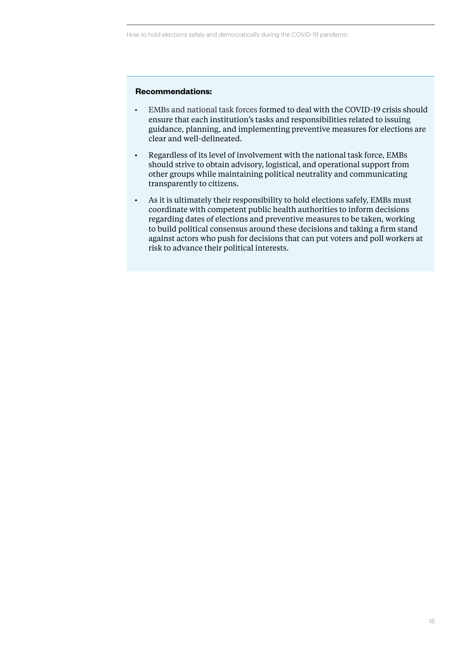#### **Recommendations:**

- EMBs and national task forces formed to deal with the COVID-19 crisis should ensure that each institution's tasks and responsibilities related to issuing guidance, planning, and implementing preventive measures for elections are clear and well-delineated.
- Regardless of its level of involvement with the national task force, EMBs should strive to obtain advisory, logistical, and operational support from other groups while maintaining political neutrality and communicating transparently to citizens.
- As it is ultimately their responsibility to hold elections safely, EMBs must coordinate with competent public health authorities to inform decisions regarding dates of elections and preventive measures to be taken, working to build political consensus around these decisions and taking a firm stand against actors who push for decisions that can put voters and poll workers at risk to advance their political interests.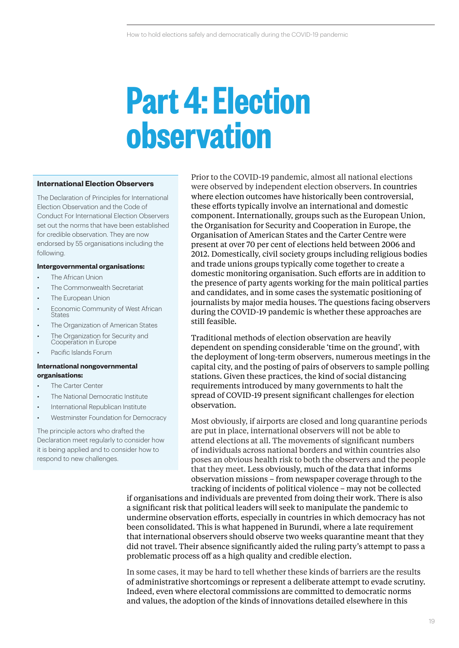## **Part 4: Election observation**

#### **International Election Observers**

The Declaration of Principles for International Election Observation and the Code of Conduct For International Election Observers set out the norms that have been established for credible observation. They are now endorsed by 55 organisations including the following.

#### **Intergovernmental organisations:**

- *•* The African Union
- *•* The Commonwealth Secretariat
- *•* The European Union
- *•* Economic Community of West African States
- *•* The Organization of American States
- *•* The Organization for Security and Cooperation in Europe
- *•* Pacific Islands Forum

#### **International nongovernmental organisations:**

- *•* The Carter Center
- *•* The National Democratic Institute
- *•* International Republican Institute
- *•* Westminster Foundation for Democracy

The principle actors who drafted the Declaration meet regularly to consider how it is being applied and to consider how to respond to new challenges.

Prior to the COVID-19 pandemic, almost all national elections were observed by independent election observers. In countries where election outcomes have historically been controversial, these efforts typically involve an international and domestic component. Internationally, groups such as the European Union, the Organisation for Security and Cooperation in Europe, the Organisation of American States and the Carter Centre were present at over 70 per cent of elections held between 2006 and 2012. Domestically, civil society groups including religious bodies and trade unions groups typically come together to create a domestic monitoring organisation. Such efforts are in addition to the presence of party agents working for the main political parties and candidates, and in some cases the systematic positioning of journalists by major media houses. The questions facing observers during the COVID-19 pandemic is whether these approaches are still feasible.

Traditional methods of election observation are heavily dependent on spending considerable 'time on the ground', with the deployment of long-term observers, numerous meetings in the capital city, and the posting of pairs of observers to sample polling stations. Given these practices, the kind of social distancing requirements introduced by many governments to halt the spread of COVID-19 present significant challenges for election observation.

Most obviously, if airports are closed and long quarantine periods are put in place, international observers will not be able to attend elections at all. The movements of significant numbers of individuals across national borders and within countries also poses an obvious health risk to both the observers and the people that they meet. Less obviously, much of the data that informs observation missions – from newspaper coverage through to the tracking of incidents of political violence – may not be collected

if organisations and individuals are prevented from doing their work. There is also a significant risk that political leaders will seek to manipulate the pandemic to undermine observation efforts, especially in countries in which democracy has not been consolidated. This is what happened in Burundi, where a late requirement that international observers should observe two weeks quarantine meant that they did not travel. Their absence significantly aided the ruling party's attempt to pass a problematic process off as a high quality and credible election.

In some cases, it may be hard to tell whether these kinds of barriers are the results of administrative shortcomings or represent a deliberate attempt to evade scrutiny. Indeed, even where electoral commissions are committed to democratic norms and values, the adoption of the kinds of innovations detailed elsewhere in this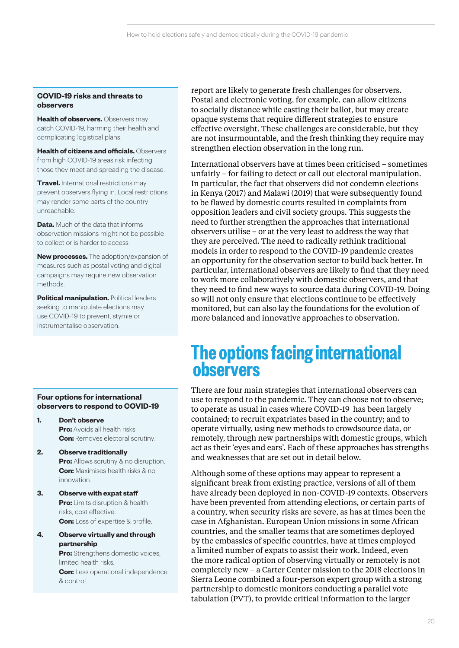#### **COVID-19 risks and threats to observers**

**Health of observers.** Observers may catch COVID-19, harming their health and complicating logistical plans.

**Health of citizens and officials.** Observers from high COVID-19 areas risk infecting those they meet and spreading the disease.

**Travel.** International restrictions may prevent observers flying in. Local restrictions may render some parts of the country unreachable.

**Data.** Much of the data that informs observation missions might not be possible to collect or is harder to access.

**New processes.** The adoption/expansion of measures such as postal voting and digital campaigns may require new observation methods.

**Political manipulation.** Political leaders seeking to manipulate elections may use COVID-19 to prevent, stymie or instrumentalise observation.

#### **Four options for international observers to respond to COVID-19**

- **1. Don't observe Pro:** Avoids all health risks. **Con:** Removes electoral scrutiny.
- **2. Observe traditionally Pro:** Allows scrutiny & no disruption. **Con:** Maximises health risks & no innovation.
- **3. Observe with expat staff Pro:** Limits disruption & health risks, cost effective. **Con:** Loss of expertise & profile.
- **4. Observe virtually and through partnership**

**Pro:** Strengthens domestic voices, limited health risks. **Con:** Less operational independence & control.

report are likely to generate fresh challenges for observers. Postal and electronic voting, for example, can allow citizens to socially distance while casting their ballot, but may create opaque systems that require different strategies to ensure effective oversight. These challenges are considerable, but they are not insurmountable, and the fresh thinking they require may strengthen election observation in the long run.

International observers have at times been criticised – sometimes unfairly – for failing to detect or call out electoral manipulation. In particular, the fact that observers did not condemn elections in Kenya (2017) and Malawi (2019) that were subsequently found to be flawed by domestic courts resulted in complaints from opposition leaders and civil society groups. This suggests the need to further strengthen the approaches that international observers utilise – or at the very least to address the way that they are perceived. The need to radically rethink traditional models in order to respond to the COVID-19 pandemic creates an opportunity for the observation sector to build back better. In particular, international observers are likely to find that they need to work more collaboratively with domestic observers, and that they need to find new ways to source data during COVID-19. Doing so will not only ensure that elections continue to be effectively monitored, but can also lay the foundations for the evolution of more balanced and innovative approaches to observation.

## **The options facing international observers**

There are four main strategies that international observers can use to respond to the pandemic. They can choose not to observe; to operate as usual in cases where COVID-19 has been largely contained; to recruit expatriates based in the country; and to operate virtually, using new methods to crowdsource data, or remotely, through new partnerships with domestic groups, which act as their 'eyes and ears'. Each of these approaches has strengths and weaknesses that are set out in detail below.

Although some of these options may appear to represent a significant break from existing practice, versions of all of them have already been deployed in non-COVID-19 contexts. Observers have been prevented from attending elections, or certain parts of a country, when security risks are severe, as has at times been the case in Afghanistan. European Union missions in some African countries, and the smaller teams that are sometimes deployed by the embassies of specific countries, have at times employed a limited number of expats to assist their work. Indeed, even the more radical option of observing virtually or remotely is not completely new – a Carter Center mission to the 2018 elections in Sierra Leone combined a four-person expert group with a strong partnership to domestic monitors conducting a parallel vote tabulation (PVT), to provide critical information to the larger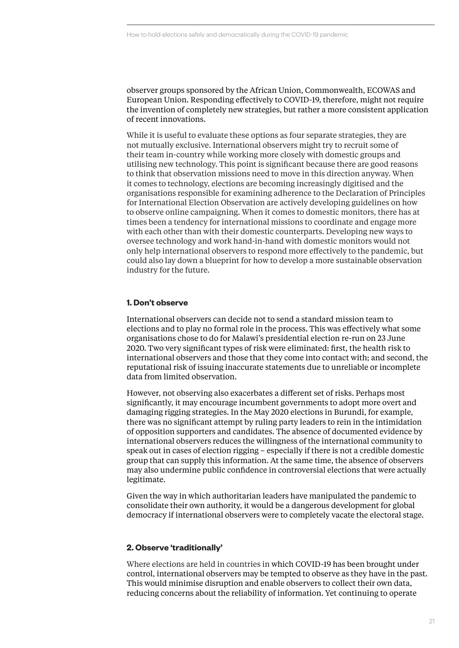observer groups sponsored by the African Union, Commonwealth, ECOWAS and European Union. Responding effectively to COVID-19, therefore, might not require the invention of completely new strategies, but rather a more consistent application of recent innovations.

While it is useful to evaluate these options as four separate strategies, they are not mutually exclusive. International observers might try to recruit some of their team in-country while working more closely with domestic groups and utilising new technology. This point is significant because there are good reasons to think that observation missions need to move in this direction anyway. When it comes to technology, elections are becoming increasingly digitised and the organisations responsible for examining adherence to the Declaration of Principles for International Election Observation are actively developing guidelines on how to observe online campaigning. When it comes to domestic monitors, there has at times been a tendency for international missions to coordinate and engage more with each other than with their domestic counterparts. Developing new ways to oversee technology and work hand-in-hand with domestic monitors would not only help international observers to respond more effectively to the pandemic, but could also lay down a blueprint for how to develop a more sustainable observation industry for the future.

#### **1. Don't observe**

International observers can decide not to send a standard mission team to elections and to play no formal role in the process. This was effectively what some organisations chose to do for Malawi's presidential election re-run on 23 June 2020. Two very significant types of risk were eliminated: first, the health risk to international observers and those that they come into contact with; and second, the reputational risk of issuing inaccurate statements due to unreliable or incomplete data from limited observation.

However, not observing also exacerbates a different set of risks. Perhaps most significantly, it may encourage incumbent governments to adopt more overt and damaging rigging strategies. In the May 2020 elections in Burundi, for example, there was no significant attempt by ruling party leaders to rein in the intimidation of opposition supporters and candidates. The absence of documented evidence by international observers reduces the willingness of the international community to speak out in cases of election rigging – especially if there is not a credible domestic group that can supply this information. At the same time, the absence of observers may also undermine public confidence in controversial elections that were actually legitimate.

Given the way in which authoritarian leaders have manipulated the pandemic to consolidate their own authority, it would be a dangerous development for global democracy if international observers were to completely vacate the electoral stage.

#### **2. Observe 'traditionally'**

Where elections are held in countries in which COVID-19 has been brought under control, international observers may be tempted to observe as they have in the past. This would minimise disruption and enable observers to collect their own data, reducing concerns about the reliability of information. Yet continuing to operate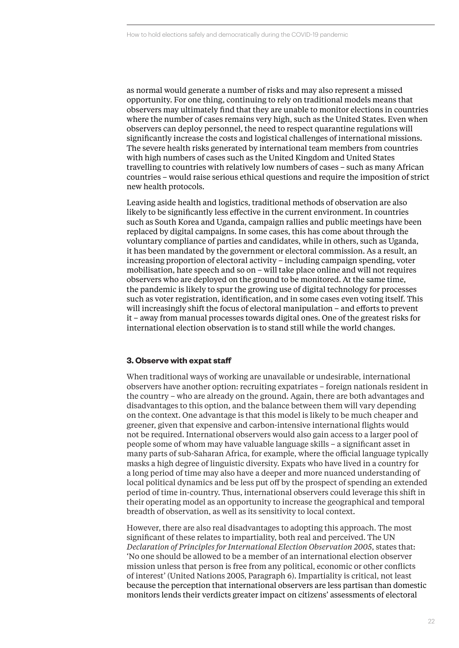as normal would generate a number of risks and may also represent a missed opportunity. For one thing, continuing to rely on traditional models means that observers may ultimately find that they are unable to monitor elections in countries where the number of cases remains very high, such as the United States. Even when observers can deploy personnel, the need to respect quarantine regulations will significantly increase the costs and logistical challenges of international missions. The severe health risks generated by international team members from countries with high numbers of cases such as the United Kingdom and United States travelling to countries with relatively low numbers of cases – such as many African countries – would raise serious ethical questions and require the imposition of strict new health protocols.

Leaving aside health and logistics, traditional methods of observation are also likely to be significantly less effective in the current environment. In countries such as South Korea and Uganda, campaign rallies and public meetings have been replaced by digital campaigns. In some cases, this has come about through the voluntary compliance of parties and candidates, while in others, such as Uganda, it has been mandated by the government or electoral commission. As a result, an increasing proportion of electoral activity – including campaign spending, voter mobilisation, hate speech and so on – will take place online and will not requires observers who are deployed on the ground to be monitored. At the same time, the pandemic is likely to spur the growing use of digital technology for processes such as voter registration, identification, and in some cases even voting itself. This will increasingly shift the focus of electoral manipulation – and efforts to prevent it – away from manual processes towards digital ones. One of the greatest risks for international election observation is to stand still while the world changes.

#### **3. Observe with expat staff**

When traditional ways of working are unavailable or undesirable, international observers have another option: recruiting expatriates – foreign nationals resident in the country – who are already on the ground. Again, there are both advantages and disadvantages to this option, and the balance between them will vary depending on the context. One advantage is that this model is likely to be much cheaper and greener, given that expensive and carbon-intensive international flights would not be required. International observers would also gain access to a larger pool of people some of whom may have valuable language skills – a significant asset in many parts of sub-Saharan Africa, for example, where the official language typically masks a high degree of linguistic diversity. Expats who have lived in a country for a long period of time may also have a deeper and more nuanced understanding of local political dynamics and be less put off by the prospect of spending an extended period of time in-country. Thus, international observers could leverage this shift in their operating model as an opportunity to increase the geographical and temporal breadth of observation, as well as its sensitivity to local context.

However, there are also real disadvantages to adopting this approach. The most significant of these relates to impartiality, both real and perceived. The UN *Declaration of Principles for International Election Observation 2005*, states that: 'No one should be allowed to be a member of an international election observer mission unless that person is free from any political, economic or other conflicts of interest' (United Nations 2005, Paragraph 6). Impartiality is critical, not least because the perception that international observers are less partisan than domestic monitors lends their verdicts greater impact on citizens' assessments of electoral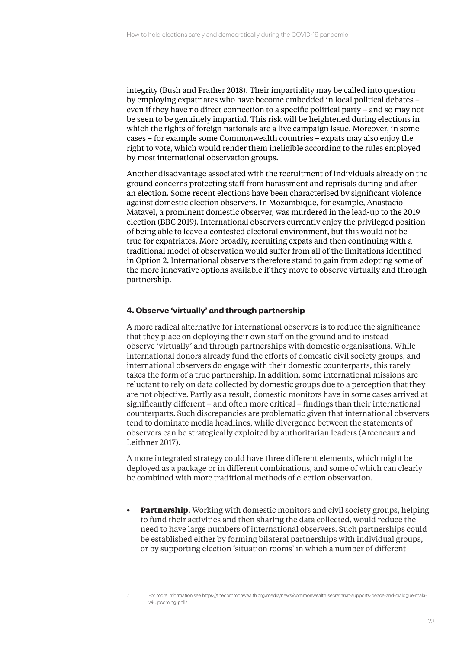integrity (Bush and Prather 2018). Their impartiality may be called into question by employing expatriates who have become embedded in local political debates – even if they have no direct connection to a specific political party – and so may not be seen to be genuinely impartial. This risk will be heightened during elections in which the rights of foreign nationals are a live campaign issue. Moreover, in some cases – for example some Commonwealth countries – expats may also enjoy the right to vote, which would render them ineligible according to the rules employed by most international observation groups.

Another disadvantage associated with the recruitment of individuals already on the ground concerns protecting staff from harassment and reprisals during and after an election. Some recent elections have been characterised by significant violence against domestic election observers. In Mozambique, for example, Anastacio Matavel, a prominent domestic observer, was murdered in the lead-up to the 2019 election (BBC 2019). International observers currently enjoy the privileged position of being able to leave a contested electoral environment, but this would not be true for expatriates. More broadly, recruiting expats and then continuing with a traditional model of observation would suffer from all of the limitations identified in Option 2. International observers therefore stand to gain from adopting some of the more innovative options available if they move to observe virtually and through partnership.

#### **4. Observe 'virtually' and through partnership**

A more radical alternative for international observers is to reduce the significance that they place on deploying their own staff on the ground and to instead observe 'virtually' and through partnerships with domestic organisations. While international donors already fund the efforts of domestic civil society groups, and international observers do engage with their domestic counterparts, this rarely takes the form of a true partnership. In addition, some international missions are reluctant to rely on data collected by domestic groups due to a perception that they are not objective. Partly as a result, domestic monitors have in some cases arrived at significantly different – and often more critical – findings than their international counterparts. Such discrepancies are problematic given that international observers tend to dominate media headlines, while divergence between the statements of observers can be strategically exploited by authoritarian leaders (Arceneaux and Leithner 2017).

A more integrated strategy could have three different elements, which might be deployed as a package or in different combinations, and some of which can clearly be combined with more traditional methods of election observation.

**• Partnership**. Working with domestic monitors and civil society groups, helping to fund their activities and then sharing the data collected, would reduce the need to have large numbers of international observers. Such partnerships could be established either by forming bilateral partnerships with individual groups, or by supporting election 'situation rooms' in which a number of different

<sup>7</sup> For more information see https://thecommonwealth.org/media/news/commonwealth-secretariat-supports-peace-and-dialogue-malawi-upcoming-polls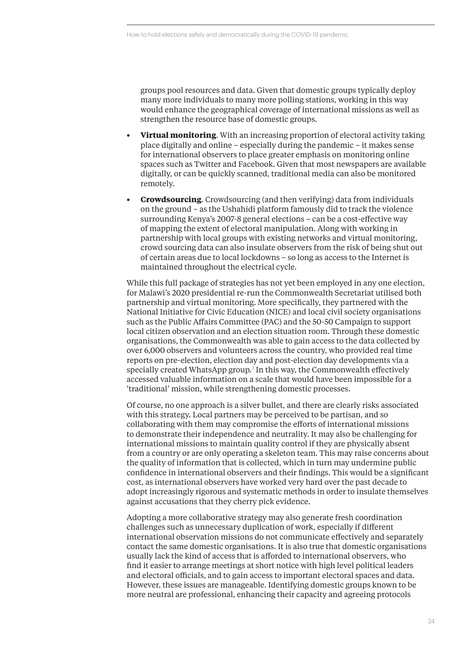groups pool resources and data. Given that domestic groups typically deploy many more individuals to many more polling stations, working in this way would enhance the geographical coverage of international missions as well as strengthen the resource base of domestic groups.

- **• Virtual monitoring**. With an increasing proportion of electoral activity taking place digitally and online – especially during the pandemic – it makes sense for international observers to place greater emphasis on monitoring online spaces such as Twitter and Facebook. Given that most newspapers are available digitally, or can be quickly scanned, traditional media can also be monitored remotely.
- **• Crowdsourcing**. Crowdsourcing (and then verifying) data from individuals on the ground – as the Ushahidi platform famously did to track the violence surrounding Kenya's 2007-8 general elections – can be a cost-effective way of mapping the extent of electoral manipulation. Along with working in partnership with local groups with existing networks and virtual monitoring, crowd sourcing data can also insulate observers from the risk of being shut out of certain areas due to local lockdowns – so long as access to the Internet is maintained throughout the electrical cycle.

While this full package of strategies has not yet been employed in any one election, for Malawi's 2020 presidential re-run the Commonwealth Secretariat utilised both partnership and virtual monitoring. More specifically, they partnered with the National Initiative for Civic Education (NICE) and local civil society organisations such as the Public Affairs Committee (PAC) and the 50-50 Campaign to support local citizen observation and an election situation room. Through these domestic organisations, the Commonwealth was able to gain access to the data collected by over 6,000 observers and volunteers across the country, who provided real time reports on pre-election, election day and post-election day developments via a specially created WhatsApp group.<sup>7</sup> In this way, the Commonwealth effectively accessed valuable information on a scale that would have been impossible for a 'traditional' mission, while strengthening domestic processes.

Of course, no one approach is a silver bullet, and there are clearly risks associated with this strategy. Local partners may be perceived to be partisan, and so collaborating with them may compromise the efforts of international missions to demonstrate their independence and neutrality. It may also be challenging for international missions to maintain quality control if they are physically absent from a country or are only operating a skeleton team. This may raise concerns about the quality of information that is collected, which in turn may undermine public confidence in international observers and their findings. This would be a significant cost, as international observers have worked very hard over the past decade to adopt increasingly rigorous and systematic methods in order to insulate themselves against accusations that they cherry pick evidence.

Adopting a more collaborative strategy may also generate fresh coordination challenges such as unnecessary duplication of work, especially if different international observation missions do not communicate effectively and separately contact the same domestic organisations. It is also true that domestic organisations usually lack the kind of access that is afforded to international observers, who find it easier to arrange meetings at short notice with high level political leaders and electoral officials, and to gain access to important electoral spaces and data. However, these issues are manageable. Identifying domestic groups known to be more neutral are professional, enhancing their capacity and agreeing protocols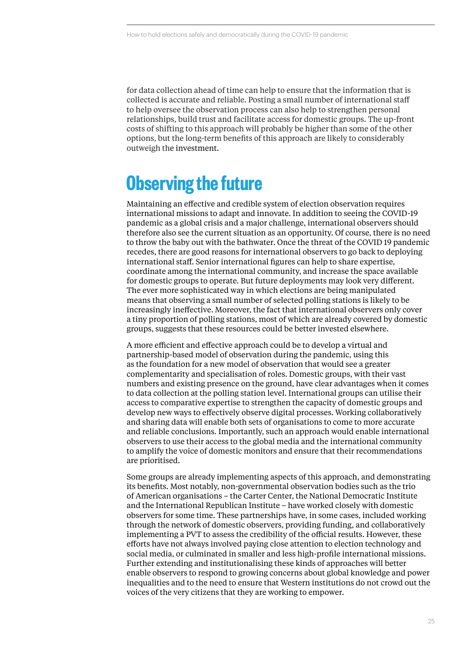for data collection ahead of time can help to ensure that the information that is collected is accurate and reliable. Posting a small number of international staff to help oversee the observation process can also help to strengthen personal relationships, build trust and facilitate access for domestic groups. The up-front costs of shifting to this approach will probably be higher than some of the other options, but the long-term benefits of this approach are likely to considerably outweigh the investment.

## **Observing the future**

Maintaining an effective and credible system of election observation requires international missions to adapt and innovate. In addition to seeing the COVID-19 pandemic as a global crisis and a major challenge, international observers should therefore also see the current situation as an opportunity. Of course, there is no need to throw the baby out with the bathwater. Once the threat of the COVID 19 pandemic recedes, there are good reasons for international observers to go back to deploying international staff. Senior international figures can help to share expertise, coordinate among the international community, and increase the space available for domestic groups to operate. But future deployments may look very different. The ever more sophisticated way in which elections are being manipulated means that observing a small number of selected polling stations is likely to be increasingly ineffective. Moreover, the fact that international observers only cover a tiny proportion of polling stations, most of which are already covered by domestic groups, suggests that these resources could be better invested elsewhere.

A more efficient and effective approach could be to develop a virtual and partnership-based model of observation during the pandemic, using this as the foundation for a new model of observation that would see a greater complementarity and specialisation of roles. Domestic groups, with their vast numbers and existing presence on the ground, have clear advantages when it comes to data collection at the polling station level. International groups can utilise their access to comparative expertise to strengthen the capacity of domestic groups and develop new ways to effectively observe digital processes. Working collaboratively and sharing data will enable both sets of organisations to come to more accurate and reliable conclusions. Importantly, such an approach would enable international observers to use their access to the global media and the international community to amplify the voice of domestic monitors and ensure that their recommendations are prioritised.

Some groups are already implementing aspects of this approach, and demonstrating its benefits. Most notably, non-governmental observation bodies such as the trio of American organisations – the Carter Center, the National Democratic Institute and the International Republican Institute – have worked closely with domestic observers for some time. These partnerships have, in some cases, included working through the network of domestic observers, providing funding, and collaboratively implementing a PVT to assess the credibility of the official results. However, these efforts have not always involved paying close attention to election technology and social media, or culminated in smaller and less high-profile international missions. Further extending and institutionalising these kinds of approaches will better enable observers to respond to growing concerns about global knowledge and power inequalities and to the need to ensure that Western institutions do not crowd out the voices of the very citizens that they are working to empower.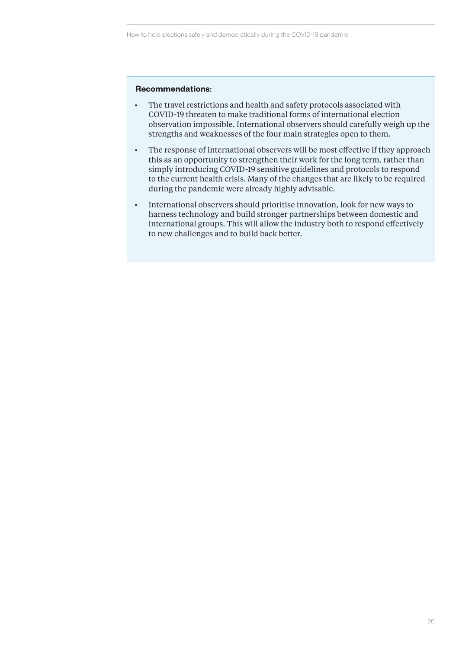#### **Recommendations**:

- The travel restrictions and health and safety protocols associated with COVID-19 threaten to make traditional forms of international election observation impossible. International observers should carefully weigh up the strengths and weaknesses of the four main strategies open to them.
- The response of international observers will be most effective if they approach this as an opportunity to strengthen their work for the long term, rather than simply introducing COVID-19 sensitive guidelines and protocols to respond to the current health crisis. Many of the changes that are likely to be required during the pandemic were already highly advisable.
- International observers should prioritise innovation, look for new ways to harness technology and build stronger partnerships between domestic and international groups. This will allow the industry both to respond effectively to new challenges and to build back better.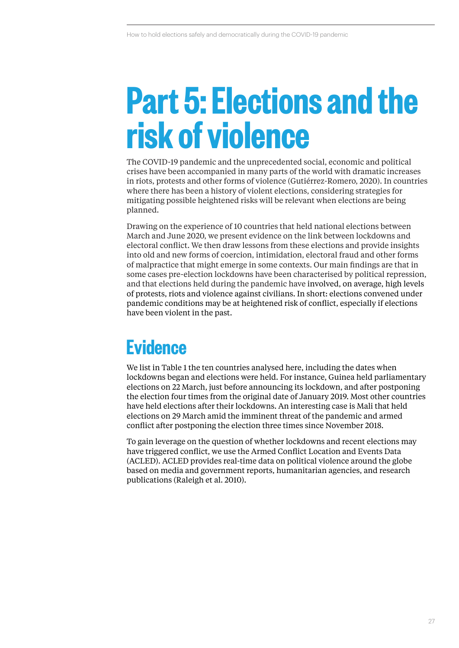## **Part 5: Elections and the risk of violence**

The COVID-19 pandemic and the unprecedented social, economic and political crises have been accompanied in many parts of the world with dramatic increases in riots, protests and other forms of violence (Gutiérrez-Romero, 2020). In countries where there has been a history of violent elections, considering strategies for mitigating possible heightened risks will be relevant when elections are being planned.

Drawing on the experience of 10 countries that held national elections between March and June 2020, we present evidence on the link between lockdowns and electoral conflict. We then draw lessons from these elections and provide insights into old and new forms of coercion, intimidation, electoral fraud and other forms of malpractice that might emerge in some contexts. Our main findings are that in some cases pre-election lockdowns have been characterised by political repression, and that elections held during the pandemic have involved, on average, high levels of protests, riots and violence against civilians. In short: elections convened under pandemic conditions may be at heightened risk of conflict, especially if elections have been violent in the past.

## **Evidence**

We list in Table 1 the ten countries analysed here, including the dates when lockdowns began and elections were held. For instance, Guinea held parliamentary elections on 22 March, just before announcing its lockdown, and after postponing the election four times from the original date of January 2019. Most other countries have held elections after their lockdowns. An interesting case is Mali that held elections on 29 March amid the imminent threat of the pandemic and armed conflict after postponing the election three times since November 2018.

To gain leverage on the question of whether lockdowns and recent elections may have triggered conflict, we use the Armed Conflict Location and Events Data (ACLED). ACLED provides real-time data on political violence around the globe based on media and government reports, humanitarian agencies, and research publications (Raleigh et al. 2010).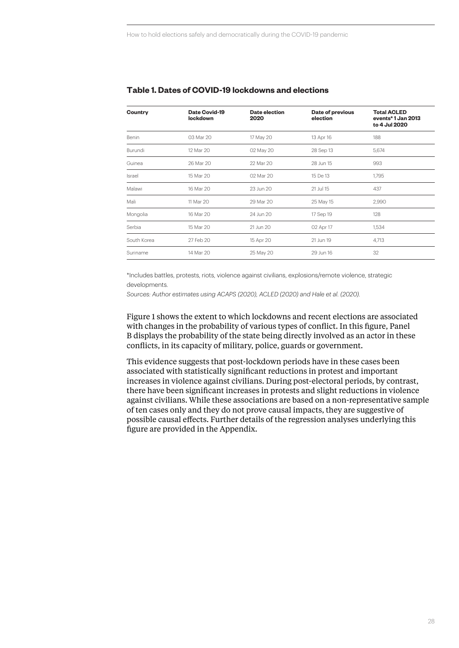| Country     | Date Covid-19<br>lockdown | Date election<br>2020 | Date of previous<br>election | <b>Total ACLED</b><br>events*1 Jan 2013<br>to 4 Jul 2020 |  |  |
|-------------|---------------------------|-----------------------|------------------------------|----------------------------------------------------------|--|--|
| Benin       | 03 Mar 20                 | 17 May 20             | 13 Apr 16                    | 188                                                      |  |  |
| Burundi     | 12 Mar 20                 | 02 May 20             | 28 Sep 13                    | 5,674                                                    |  |  |
| Guinea      | 26 Mar 20                 | 22 Mar 20             | 28 Jun 15                    | 993                                                      |  |  |
| Israel      | 15 Mar 20                 | 02 Mar 20             | 15 De 13                     | 1,795                                                    |  |  |
| Malawi      | 16 Mar 20                 | 23 Jun 20             | 21 Jul 15                    | 437                                                      |  |  |
| Mali        | 11 Mar 20                 | 29 Mar 20             | 25 May 15                    | 2,990                                                    |  |  |
| Mongolia    | 16 Mar 20                 | 24 Jun 20             | 17 Sep 19                    | 128                                                      |  |  |
| Serbia      | 15 Mar 20                 | 21 Jun 20             | 02 Apr 17                    | 1,534                                                    |  |  |
| South Korea | 27 Feb 20                 | 15 Apr 20             | 21 Jun 19                    | 4,713                                                    |  |  |
| Suriname    | 14 Mar 20                 | 25 May 20             | 29 Jun 16                    | 32                                                       |  |  |

#### **Table 1. Dates of COVID-19 lockdowns and elections**

\*Includes battles, protests, riots, violence against civilians, explosions/remote violence, strategic developments.

*Sources: Author estimates using ACAPS (2020), ACLED (2020) and Hale et al. (2020).* 

Figure 1 shows the extent to which lockdowns and recent elections are associated with changes in the probability of various types of conflict. In this figure, Panel B displays the probability of the state being directly involved as an actor in these conflicts, in its capacity of military, police, guards or government.

This evidence suggests that post-lockdown periods have in these cases been associated with statistically significant reductions in protest and important increases in violence against civilians. During post-electoral periods, by contrast, there have been significant increases in protests and slight reductions in violence against civilians. While these associations are based on a non-representative sample of ten cases only and they do not prove causal impacts, they are suggestive of possible causal effects. Further details of the regression analyses underlying this figure are provided in the Appendix.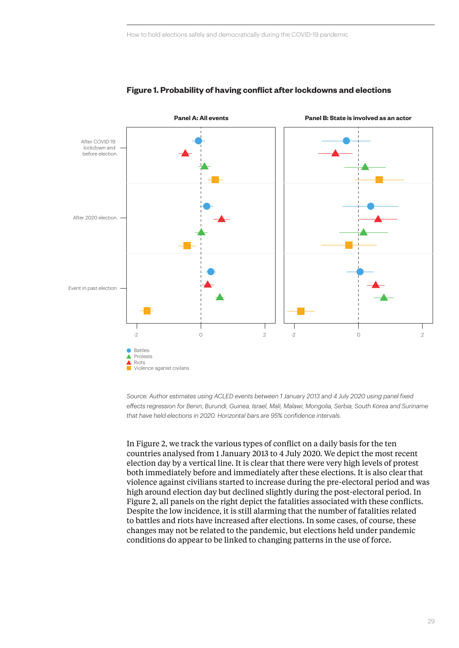

#### **Figure 1. Probability of having conflict after lockdowns and elections**

*Source: Author estimates using ACLED events between 1 January 2013 and 4 July 2020 using panel fixed effects regression for Benin, Burundi, Guinea, Israel, Mali, Malawi, Mongolia, Serbia, South Korea and Suriname that have held elections in 2020. Horizontal bars are 95% confidence intervals.* 

In Figure 2, we track the various types of conflict on a daily basis for the ten countries analysed from 1 January 2013 to 4 July 2020. We depict the most recent election day by a vertical line. It is clear that there were very high levels of protest both immediately before and immediately after these elections. It is also clear that violence against civilians started to increase during the pre-electoral period and was high around election day but declined slightly during the post-electoral period. In Figure 2, all panels on the right depict the fatalities associated with these conflicts. Despite the low incidence, it is still alarming that the number of fatalities related to battles and riots have increased after elections. In some cases, of course, these changes may not be related to the pandemic, but elections held under pandemic conditions do appear to be linked to changing patterns in the use of force.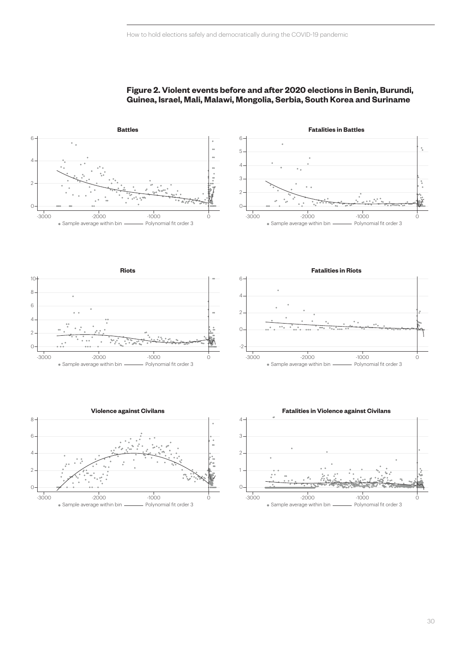

#### **Figure 2. Violent events before and after 2020 elections in Benin, Burundi, Guinea, Israel, Mali, Malawi, Mongolia, Serbia, South Korea and Suriname**









4 1  $\Omega$  $\overline{2}$ 3 **Fatalities in Violence against Civilans** -3000 -2000 -2000 -1000 - 0 • Sample average within bin - Polynomial fit order 3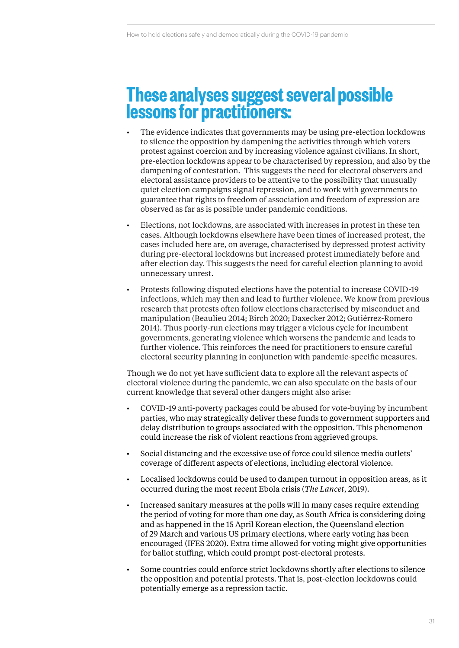### **These analyses suggest several possible lessons for practitioners:**

- The evidence indicates that governments may be using pre-election lockdowns to silence the opposition by dampening the activities through which voters protest against coercion and by increasing violence against civilians. In short, pre-election lockdowns appear to be characterised by repression, and also by the dampening of contestation. This suggests the need for electoral observers and electoral assistance providers to be attentive to the possibility that unusually quiet election campaigns signal repression, and to work with governments to guarantee that rights to freedom of association and freedom of expression are observed as far as is possible under pandemic conditions.
- Elections, not lockdowns, are associated with increases in protest in these ten cases. Although lockdowns elsewhere have been times of increased protest, the cases included here are, on average, characterised by depressed protest activity during pre-electoral lockdowns but increased protest immediately before and after election day. This suggests the need for careful election planning to avoid unnecessary unrest.
- Protests following disputed elections have the potential to increase COVID-19 infections, which may then and lead to further violence. We know from previous research that protests often follow elections characterised by misconduct and manipulation (Beaulieu 2014; Birch 2020; Daxecker 2012; Gutiérrez-Romero 2014). Thus poorly-run elections may trigger a vicious cycle for incumbent governments, generating violence which worsens the pandemic and leads to further violence. This reinforces the need for practitioners to ensure careful electoral security planning in conjunction with pandemic-specific measures.

Though we do not yet have sufficient data to explore all the relevant aspects of electoral violence during the pandemic, we can also speculate on the basis of our current knowledge that several other dangers might also arise:

- COVID-19 anti-poverty packages could be abused for vote-buying by incumbent parties, who may strategically deliver these funds to government supporters and delay distribution to groups associated with the opposition. This phenomenon could increase the risk of violent reactions from aggrieved groups.
- Social distancing and the excessive use of force could silence media outlets' coverage of different aspects of elections, including electoral violence.
- Localised lockdowns could be used to dampen turnout in opposition areas, as it occurred during the most recent Ebola crisis (*The Lancet*, 2019).
- Increased sanitary measures at the polls will in many cases require extending the period of voting for more than one day, as South Africa is considering doing and as happened in the 15 April Korean election, the Queensland election of 29 March and various US primary elections, where early voting has been encouraged (IFES 2020). Extra time allowed for voting might give opportunities for ballot stuffing, which could prompt post-electoral protests.
- Some countries could enforce strict lockdowns shortly after elections to silence the opposition and potential protests. That is, post-election lockdowns could potentially emerge as a repression tactic.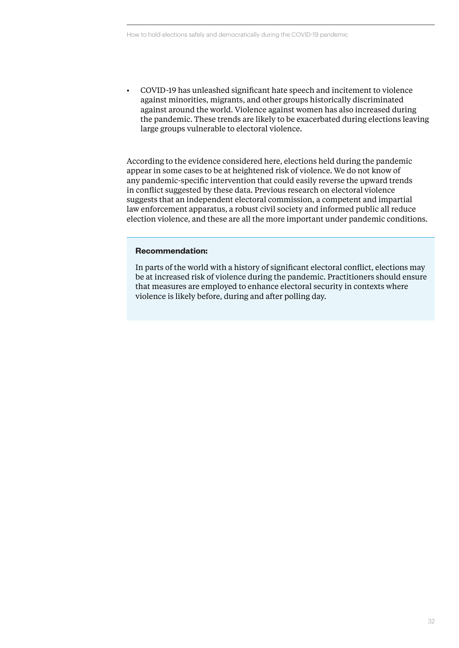• COVID-19 has unleashed significant hate speech and incitement to violence against minorities, migrants, and other groups historically discriminated against around the world. Violence against women has also increased during the pandemic. These trends are likely to be exacerbated during elections leaving large groups vulnerable to electoral violence.

According to the evidence considered here, elections held during the pandemic appear in some cases to be at heightened risk of violence. We do not know of any pandemic-specific intervention that could easily reverse the upward trends in conflict suggested by these data. Previous research on electoral violence suggests that an independent electoral commission, a competent and impartial law enforcement apparatus, a robust civil society and informed public all reduce election violence, and these are all the more important under pandemic conditions.

#### **Recommendation:**

In parts of the world with a history of significant electoral conflict, elections may be at increased risk of violence during the pandemic. Practitioners should ensure that measures are employed to enhance electoral security in contexts where violence is likely before, during and after polling day.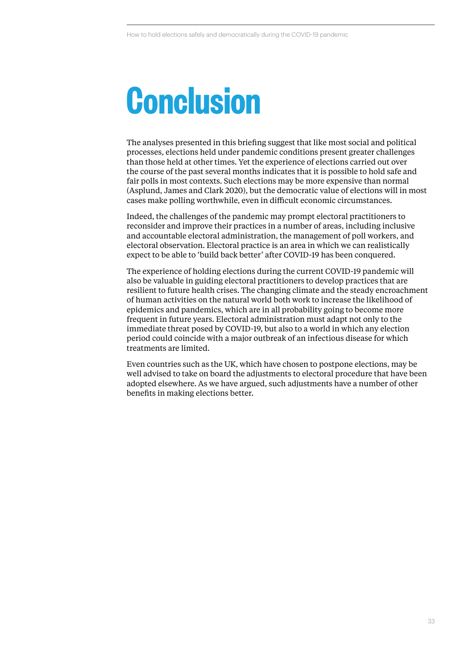# **Conclusion**

The analyses presented in this briefing suggest that like most social and political processes, elections held under pandemic conditions present greater challenges than those held at other times. Yet the experience of elections carried out over the course of the past several months indicates that it is possible to hold safe and fair polls in most contexts. Such elections may be more expensive than normal (Asplund, James and Clark 2020), but the democratic value of elections will in most cases make polling worthwhile, even in difficult economic circumstances.

Indeed, the challenges of the pandemic may prompt electoral practitioners to reconsider and improve their practices in a number of areas, including inclusive and accountable electoral administration, the management of poll workers, and electoral observation. Electoral practice is an area in which we can realistically expect to be able to 'build back better' after COVID-19 has been conquered.

The experience of holding elections during the current COVID-19 pandemic will also be valuable in guiding electoral practitioners to develop practices that are resilient to future health crises. The changing climate and the steady encroachment of human activities on the natural world both work to increase the likelihood of epidemics and pandemics, which are in all probability going to become more frequent in future years. Electoral administration must adapt not only to the immediate threat posed by COVID-19, but also to a world in which any election period could coincide with a major outbreak of an infectious disease for which treatments are limited.

Even countries such as the UK, which have chosen to postpone elections, may be well advised to take on board the adjustments to electoral procedure that have been adopted elsewhere. As we have argued, such adjustments have a number of other benefits in making elections better.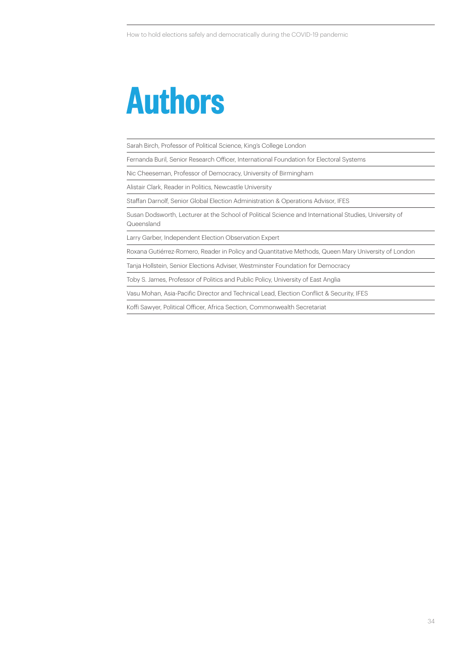## **Authors**

Sarah Birch, Professor of Political Science, King's College London

Fernanda Buril, Senior Research Officer, International Foundation for Electoral Systems

Nic Cheeseman, Professor of Democracy, University of Birmingham

Alistair Clark, Reader in Politics, Newcastle University

Staffan Darnolf, Senior Global Election Administration & Operations Advisor, IFES

Susan Dodsworth, Lecturer at the School of Political Science and International Studies, University of Queensland

Larry Garber, Independent Election Observation Expert

Roxana Gutiérrez-Romero, Reader in Policy and Quantitative Methods, Queen Mary University of London

Tanja Hollstein, Senior Elections Adviser, Westminster Foundation for Democracy

Toby S. James, Professor of Politics and Public Policy, University of East Anglia

Vasu Mohan, Asia-Pacific Director and Technical Lead, Election Conflict & Security, IFES

Koffi Sawyer, Political Officer, Africa Section, Commonwealth Secretariat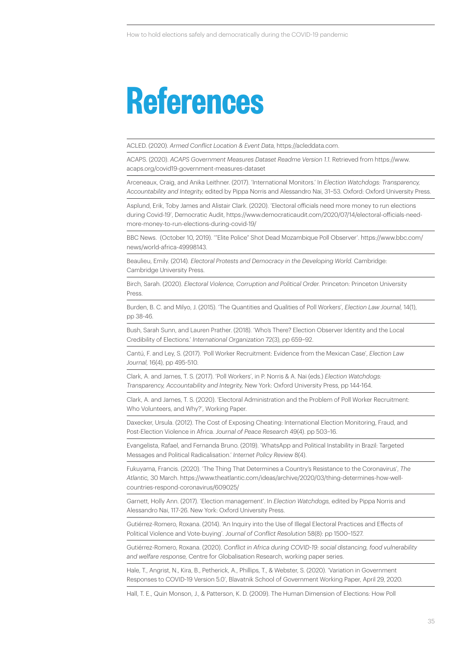## **References**

ACLED. (2020). *Armed Conflict Location & Event Data,* https://acleddata.com.

ACAPS. (2020). *ACAPS Government Measures Dataset Readme Version 1.1.* Retrieved from https://www. acaps.org/covid19-government-measures-dataset

Arceneaux, Craig, and Anika Leithner. (2017). 'International Monitors.' In *Election Watchdogs: Transparency, Accountability and Integrity,* edited by Pippa Norris and Alessandro Nai, 31–53. Oxford: Oxford University Press.

Asplund, Erik, Toby James and Alistair Clark. (2020). 'Electoral officials need more money to run elections during Covid-19', Democratic Audit, https://www.democraticaudit.com/2020/07/14/electoral-officials-needmore-money-to-run-elections-during-covid-19/

BBC News. (October 10, 2019). '"Elite Police" Shot Dead Mozambique Poll Observer'. https://www.bbc.com/ news/world-africa-49998143.

Beaulieu, Emily. (2014)*. Electoral Protests and Democracy in the Developing World.* Cambridge: Cambridge University Press.

Birch, Sarah. (2020). *Electoral Violence, Corruption and Political Order.* Princeton: Princeton University Press.

Burden, B. C. and Milyo, J. (2015). 'The Quantities and Qualities of Poll Workers', *Election Law Journal,* 14(1), pp 38-46.

Bush, Sarah Sunn, and Lauren Prather. (2018). 'Who's There? Election Observer Identity and the Local Credibility of Elections.' *International Organization* 72(3), pp 659–92.

Cantú, F. and Ley, S. (2017). 'Poll Worker Recruitment: Evidence from the Mexican Case', *Election Law Journal,* 16(4), pp 495-510.

Clark, A. and James, T. S. (2017). 'Poll Workers', in P. Norris & A. Nai (eds.) *Election Watchdogs: Transparency, Accountability and Integrity,* New York: Oxford University Press, pp 144-164.

Clark, A. and James, T. S. (2020). 'Electoral Administration and the Problem of Poll Worker Recruitment: Who Volunteers, and Why?', Working Paper.

Daxecker, Ursula. (2012). The Cost of Exposing Cheating: International Election Monitoring, Fraud, and Post-Election Violence in Africa. *Journal of Peace Research* 49(4). pp 503–16.

Evangelista, Rafael, and Fernanda Bruno. (2019). 'WhatsApp and Political Instability in Brazil: Targeted Messages and Political Radicalisation.' *Internet Policy Review* 8(4).

Fukuyama, Francis. (2020). 'The Thing That Determines a Country's Resistance to the Coronavirus', *The Atlantic,* 30 March. https://www.theatlantic.com/ideas/archive/2020/03/thing-determines-how-wellcountries-respond-coronavirus/609025/

Garnett, Holly Ann. (2017). 'Election management'. In *Election Watchdogs,* edited by Pippa Norris and Alessandro Nai, 117-26. New York: Oxford University Press.

Gutiérrez-Romero, Roxana. (2014). 'An Inquiry into the Use of Illegal Electoral Practices and Effects of Political Violence and Vote-buying'. *Journal of Conflict Resolution* 58(8): pp 1500–1527.

Gutiérrez-Romero, Roxana. (2020). *Conflict in Africa during COVID-19: social distancing, food vulnerability and welfare response,* Centre for Globalisation Research, working paper series.

Hale, T., Angrist, N., Kira, B., Petherick, A., Phillips, T., & Webster, S. (2020). 'Variation in Government Responses to COVID-19 Version 5.0', Blavatnik School of Government Working Paper, April 29, 2020.

Hall, T. E., Quin Monson, J., & Patterson, K. D. (2009). The Human Dimension of Elections: How Poll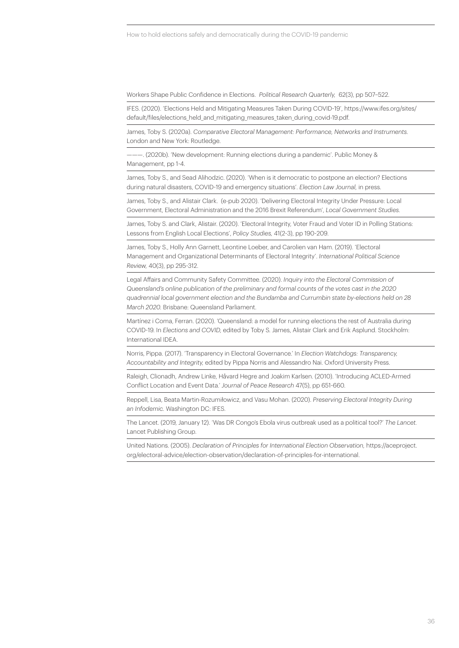Workers Shape Public Confidence in Elections. *Political Research Quarterly,* 62(3), pp 507–522.

IFES. (2020). 'Elections Held and Mitigating Measures Taken During COVID-19', https://www.ifes.org/sites/ default/files/elections\_held\_and\_mitigating\_measures\_taken\_during\_covid-19.pdf.

James, Toby S. (2020a). *Comparative Electoral Management: Performance, Networks and Instruments.*  London and New York: Routledge.

———. (2020b). 'New development: Running elections during a pandemic'. Public Money & Management, pp 1-4.

James, Toby S., and Sead Alihodzic. (2020). 'When is it democratic to postpone an election? Elections during natural disasters, COVID-19 and emergency situations'. *Election Law Journal,* in press.

James, Toby S., and Alistair Clark. (e-pub 2020). 'Delivering Electoral Integrity Under Pressure: Local Government, Electoral Administration and the 2016 Brexit Referendum', *Local Government Studies.* 

James, Toby S. and Clark, Alistair. (2020). 'Electoral Integrity, Voter Fraud and Voter ID in Polling Stations: Lessons from English Local Elections', *Policy Studies,* 41(2-3), pp 190-209.

James, Toby S., Holly Ann Garnett, Leontine Loeber, and Carolien van Ham. (2019). 'Electoral Management and Organizational Determinants of Electoral Integrity'. *International Political Science Review,* 40(3), pp 295-312.

Legal Affairs and Community Safety Committee. (2020). *Inquiry into the Electoral Commission of Queensland's online publication of the preliminary and formal counts of the votes cast in the 2020 quadrennial local government election and the Bundamba and Currumbin state by-elections held on 28 March 2020.* Brisbane: Queensland Parliament.

Martínez i Coma, Ferran. (2020). 'Queensland: a model for running elections the rest of Australia during COVID-19. In *Elections and COVID,* edited by Toby S. James, Alistair Clark and Erik Asplund. Stockholm: International IDEA.

Norris, Pippa. (2017). 'Transparency in Electoral Governance.' In *Election Watchdogs: Transparency, Accountability and Integrity,* edited by Pippa Norris and Alessandro Nai. Oxford University Press.

Raleigh, Clionadh, Andrew Linke, Håvard Hegre and Joakim Karlsen. (2010). 'Introducing ACLED-Armed Conflict Location and Event Data.' *Journal of Peace Research* 47(5), pp 651-660.

Reppell, Lisa, Beata Martin-Rozumiłowicz, and Vasu Mohan. (2020). *Preserving Electoral Integrity During an Infodemic.* Washington DC: IFES.

The Lancet. (2019, January 12). 'Was DR Congo's Ebola virus outbreak used as a political tool?' *The Lancet.*  Lancet Publishing Group.

United Nations. (2005). *Declaration of Principles for International Election Observation,* https://aceproject. org/electoral-advice/election-observation/declaration-of-principles-for-international.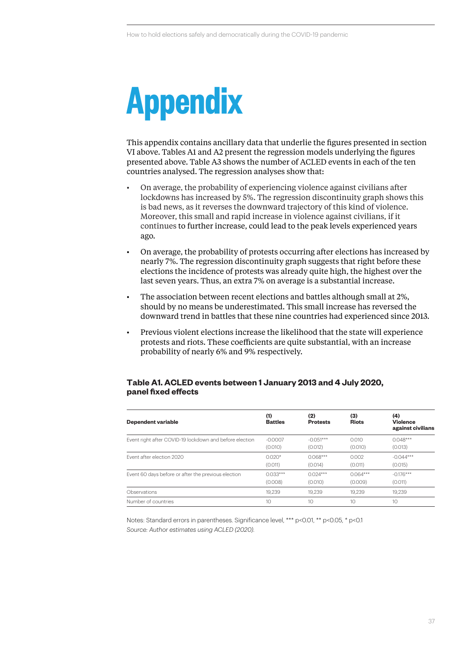# **Appendix**

This appendix contains ancillary data that underlie the figures presented in section VI above. Tables A1 and A2 present the regression models underlying the figures presented above. Table A3 shows the number of ACLED events in each of the ten countries analysed. The regression analyses show that:

- On average, the probability of experiencing violence against civilians after lockdowns has increased by 5%. The regression discontinuity graph shows this is bad news, as it reverses the downward trajectory of this kind of violence. Moreover, this small and rapid increase in violence against civilians, if it continues to further increase, could lead to the peak levels experienced years ago.
- On average, the probability of protests occurring after elections has increased by nearly 7%. The regression discontinuity graph suggests that right before these elections the incidence of protests was already quite high, the highest over the last seven years. Thus, an extra 7% on average is a substantial increase.
- The association between recent elections and battles although small at 2%, should by no means be underestimated. This small increase has reversed the downward trend in battles that these nine countries had experienced since 2013.
- Previous violent elections increase the likelihood that the state will experience protests and riots. These coefficients are quite substantial, with an increase probability of nearly 6% and 9% respectively.

#### **Table A1. ACLED events between 1 January 2013 and 4 July 2020, panel fixed effects**

| Dependent variable                                      | (1)<br><b>Battles</b> | (2)<br><b>Protests</b> | (3)<br><b>Riots</b> | (4)<br><b>Violence</b><br>against civilians |  |
|---------------------------------------------------------|-----------------------|------------------------|---------------------|---------------------------------------------|--|
| Event right after COVID-19 lockdown and before election | $-0.0007$             | $-0.051***$            | 0.010               | $0.048***$                                  |  |
|                                                         | (0.010)               | (0.012)                | (0.010)             | (0.013)                                     |  |
| Event after election 2020                               | $0.020*$              | $0.068***$             | 0.002               | $-0.044***$                                 |  |
|                                                         | (0.011)               | (0.014)                | (0.011)             | (0.015)                                     |  |
| Event 60 days before or after the previous election     | $0.033***$            | $0.024***$             | $0.064***$          | $-0.176***$                                 |  |
|                                                         | (0.008)               | (0.010)                | (0.009)             | (0.011)                                     |  |
| Observations                                            | 19.239                | 19.239                 | 19.239              | 19.239                                      |  |
| Number of countries                                     | 10                    | 10                     | 10                  | 10                                          |  |

Notes: Standard errors in parentheses. Significance level, \*\*\* p<0.01, \*\* p<0.05, \* p<0.1 *Source: Author estimates using ACLED (2020).*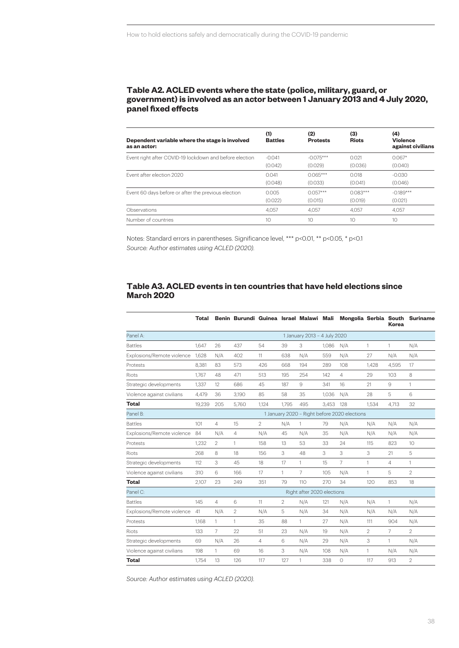#### **Table A2. ACLED events where the state (police, military, guard, or government) is involved as an actor between 1 January 2013 and 4 July 2020, panel fixed effects**

| Dependent variable where the stage is involved<br>as an actor: | (1)<br><b>Battles</b> | (2)<br><b>Protests</b> | (3)<br><b>Riots</b> | (4)<br><b>Violence</b><br>against civilians |
|----------------------------------------------------------------|-----------------------|------------------------|---------------------|---------------------------------------------|
| Event right after COVID-19 lockdown and before election        | $-0.041$              | $-0.075***$            | 0.021               | $0.067*$                                    |
|                                                                | (0.042)               | (0.029)                | (0.036)             | (0.040)                                     |
| Event after election 2020                                      | 0 <sub>041</sub>      | $0.065***$             | 0.018               | $-0.030$                                    |
|                                                                | (0.048)               | (0.033)                | (0.041)             | (0.046)                                     |
| Event 60 days before or after the previous election            | 0.005                 | $0.057***$             | $0.083***$          | $-0.189***$                                 |
|                                                                | (0.022)               | (0.015)                | (0.019)             | (0.021)                                     |
| Observations                                                   | 4.057                 | 4.057                  | 4.057               | 4.057                                       |
| Number of countries                                            | 10                    | 10                     | 10                  | 10                                          |

Notes: Standard errors in parentheses. Significance level, \*\*\* p<0.01, \*\* p<0.05, \* p<0.1 *Source: Author estimates using ACLED (2020).* 

#### **Table A3. ACLED events in ten countries that have held elections since March 2020**

|                            | Total                                        |                | Benin Burundi Guinea Israel Malawi Mali |                |                |              |       |     |                | <b>Korea</b>   | Mongolia Serbia South Suriname |
|----------------------------|----------------------------------------------|----------------|-----------------------------------------|----------------|----------------|--------------|-------|-----|----------------|----------------|--------------------------------|
| Panel A:                   | 1 January 2013 - 4 July 2020                 |                |                                         |                |                |              |       |     |                |                |                                |
| <b>Battles</b>             | 1.647                                        | 26             | 437                                     | 54             | 39             | 3            | 1,086 | N/A | 1              | 1              | N/A                            |
| Explosions/Remote violence | 1,628                                        | N/A            | 402                                     | 11             | 638            | N/A          | 559   | N/A | 27             | N/A            | N/A                            |
| Protests                   | 8.381                                        | 83             | 573                                     | 426            | 668            | 194          | 289   | 108 | 1.428          | 4,595          | 17                             |
| <b>Riots</b>               | 1.767                                        | 48             | 471                                     | 513            | 195            | 254          | 142   | 4   | 29             | 103            | 8                              |
| Strategic developments     | 1.337                                        | 12             | 686                                     | 45             | 187            | 9            | 341   | 16  | 21             | 9              | $\mathbf{1}$                   |
| Violence against civilians | 4,479                                        | 36             | 3,190                                   | 85             | 58             | 35           | 1,036 | N/A | 28             | 5              | 6                              |
| <b>Total</b>               | 19,239                                       | 205            | 5,760                                   | 1,124          | 1,795          | 495          | 3.453 | 128 | 1.534          | 4,713          | 32                             |
| Panel B:                   | 1 January 2020 - Right before 2020 elections |                |                                         |                |                |              |       |     |                |                |                                |
| <b>Battles</b>             | 101                                          | 4              | 15                                      | $\overline{2}$ | N/A            | $\mathbf{1}$ | 79    | N/A | N/A            | N/A            | N/A                            |
| Explosions/Remote violence | 84                                           | N/A            | 4                                       | N/A            | 45             | N/A          | 35    | N/A | N/A            | N/A            | N/A                            |
| Protests                   | 1.232                                        | $\overline{2}$ | 1                                       | 158            | 13             | 53           | 33    | 24  | 115            | 823            | 10                             |
| <b>Riots</b>               | 268                                          | 8              | 18                                      | 156            | 3              | 48           | 3     | 3   | 3              | 21             | 5                              |
| Strategic developments     | 112                                          | 3              | 45                                      | 18             | 17             | $\mathbf{1}$ | 15    | 7   | 1              | $\overline{4}$ | $\mathbf{1}$                   |
| Violence against civilians | 310                                          | 6              | 166                                     | 17             | 1              | 7            | 105   | N/A | 1              | 5              | $\mathfrak{D}$                 |
| <b>Total</b>               | 2,107                                        | 23             | 249                                     | 351            | 79             | 110          | 270   | 34  | 120            | 853            | 18                             |
| Panel C:                   | Right after 2020 elections                   |                |                                         |                |                |              |       |     |                |                |                                |
| <b>Battles</b>             | 145                                          | 4              | 6                                       | 11             | $\overline{2}$ | N/A          | 121   | N/A | N/A            | 1              | N/A                            |
| Explosions/Remote violence | 41                                           | N/A            | 2                                       | N/A            | 5              | N/A          | 34    | N/A | N/A            | N/A            | N/A                            |
| Protests                   | 1.168                                        | $\mathbf{1}$   | 1                                       | 35             | 88             | $\mathbf{1}$ | 27    | N/A | 111            | 904            | N/A                            |
| <b>Riots</b>               | 133                                          | 7              | 22                                      | 51             | 23             | N/A          | 19    | N/A | $\overline{2}$ | $\overline{7}$ | $\mathfrak{D}$                 |
| Strategic developments     | 69                                           | N/A            | 26                                      | 4              | 6              | N/A          | 29    | N/A | 3              | 1              | N/A                            |
| Violence against civilians | 198                                          | 1              | 69                                      | 16             | 3              | N/A          | 108   | N/A | 1              | N/A            | N/A                            |
| <b>Total</b>               | 1.754                                        | 13             | 126                                     | 117            | 127            | 1            | 338   | 0   | 117            | 913            | $\overline{2}$                 |

*Source: Author estimates using ACLED (2020).*